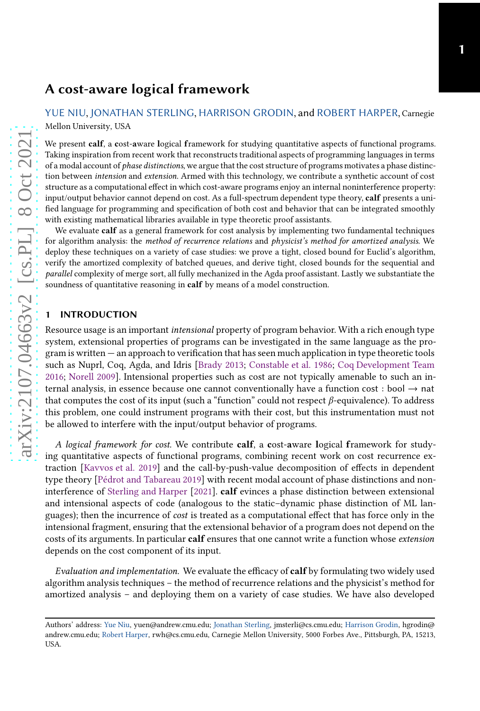# A cost-aware logical framework

[YUE NIU,](HTTPS://ORCID.ORG/0000-0003-4888-6042) [JONATHAN STERLING,](HTTPS://ORCID.ORG/0000-0002-0585-5564) [HARRISON GRODIN,](HTTPS://ORCID.ORG/0000-0002-0947-3520) and [ROBERT HARPER,](HTTPS://ORCID.ORG/0000-0002-9400-2941) Carnegie Mellon University, USA

We present calf, a cost-aware logical framework for studying quantitative aspects of functional programs. Taking inspiration from recent work that reconstructs traditional aspects of programming languages in terms of a modal account of phase distinctions, we argue that the cost structure of programs motivates a phase distinction between intension and extension. Armed with this technology, we contribute a synthetic account of cost structure as a computational effect in which cost-aware programs enjoy an internal noninterference property: input/output behavior cannot depend on cost. As a full-spectrum dependent type theory, calf presents a unified language for programming and specification of both cost and behavior that can be integrated smoothly with existing mathematical libraries available in type theoretic proof assistants.

We evaluate calf as a general framework for cost analysis by implementing two fundamental techniques for algorithm analysis: the method of recurrence relations and physicist's method for amortized analysis. We deploy these techniques on a variety of case studies: we prove a tight, closed bound for Euclid's algorithm, verify the amortized complexity of batched queues, and derive tight, closed bounds for the sequential and parallel complexity of merge sort, all fully mechanized in the Agda proof assistant. Lastly we substantiate the soundness of quantitative reasoning in calf by means of a model construction.

#### <span id="page-0-0"></span>1 INTRODUCTION

Resource usage is an important intensional property of program behavior. With a rich enough type system, extensional properties of programs can be investigated in the same language as the program is written — an approach to verification that has seen much application in type theoretic tools such as Nuprl, Coq, Agda, and Idris [\[Brady 2013;](#page-25-0) [Constable et al. 1986;](#page-26-0) [Coq Development Team](#page-26-1) [2016;](#page-26-1) [Norell 2009\]](#page-27-0). Intensional properties such as cost are not typically amenable to such an internal analysis, in essence because one cannot conventionally have a function cost : bool  $\rightarrow$  nat that computes the cost of its input (such a "function" could not respect  $\beta$ -equivalence). To address this problem, one could instrument programs with their cost, but this instrumentation must not be allowed to interfere with the input/output behavior of programs.

A logical framework for cost. We contribute calf, a cost-aware logical framework for studying quantitative aspects of functional programs, combining recent work on cost recurrence extraction [\[Kavvos et al. 2019\]](#page-27-1) and the call-by-push-value decomposition of effects in dependent type theory [\[Pédrot and Tabareau 2019\]](#page-27-2) with recent modal account of phase distinctions and noninterference of [Sterling and Harper](#page-28-0) [\[2021\]](#page-28-0). calf evinces a phase distinction between extensional and intensional aspects of code (analogous to the static–dynamic phase distinction of ML languages); then the incurrence of cost is treated as a computational effect that has force only in the intensional fragment, ensuring that the extensional behavior of a program does not depend on the costs of its arguments. In particular **calf** ensures that one cannot write a function whose *extension* depends on the cost component of its input.

Evaluation and implementation. We evaluate the efficacy of **calf** by formulating two widely used algorithm analysis techniques – the method of recurrence relations and the physicist's method for amortized analysis – and deploying them on a variety of case studies. We have also developed

Authors' address: [Yue Niu,](https://orcid.org/0000-0003-4888-6042) yuen@andrew.cmu.edu; [Jonathan Sterling,](https://orcid.org/0000-0002-0585-5564) jmsterli@cs.cmu.edu; [Harrison Grodin,](https://orcid.org/0000-0002-0947-3520) hgrodin@ andrew.cmu.edu; [Robert Harper,](https://orcid.org/0000-0002-9400-2941) rwh@cs.cmu.edu, Carnegie Mellon University, 5000 Forbes Ave., Pittsburgh, PA, 15213, USA.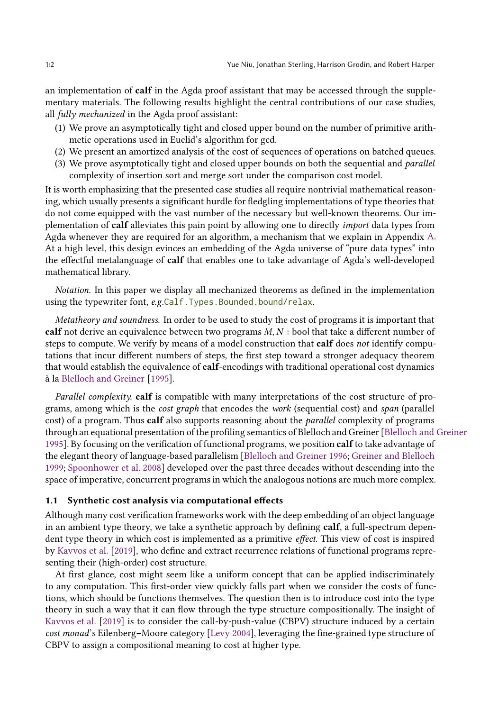an implementation of calf in the Agda proof assistant that may be accessed through the supplementary materials. The following results highlight the central contributions of our case studies, all fully mechanized in the Agda proof assistant:

- (1) We prove an asymptotically tight and closed upper bound on the number of primitive arithmetic operations used in Euclid's algorithm for gcd.
- (2) We present an amortized analysis of the cost of sequences of operations on batched queues.
- (3) We prove asymptotically tight and closed upper bounds on both the sequential and *parallel* complexity of insertion sort and merge sort under the comparison cost model.

It is worth emphasizing that the presented case studies all require nontrivial mathematical reasoning, which usually presents a significant hurdle for fledgling implementations of type theories that do not come equipped with the vast number of the necessary but well-known theorems. Our implementation of calf alleviates this pain point by allowing one to directly import data types from Agda whenever they are required for an algorithm, a mechanism that we explain in Appendix [A.](#page-28-1) At a high level, this design evinces an embedding of the Agda universe of "pure data types" into the effectful metalanguage of calf that enables one to take advantage of Agda's well-developed mathematical library.

Notation. In this paper we display all mechanized theorems as defined in the implementation using the typewriter font, e.g.Calf. Types. Bounded.bound/relax.

Metatheory and soundness. In order to be used to study the cost of programs it is important that calf not derive an equivalence between two programs  $M, N$ : bool that take a different number of steps to compute. We verify by means of a model construction that calf does not identify computations that incur different numbers of steps, the first step toward a stronger adequacy theorem that would establish the equivalence of calf-encodings with traditional operational cost dynamics à la [Blelloch and Greiner](#page-25-1) [\[1995](#page-25-1)].

Parallel complexity. calf is compatible with many interpretations of the cost structure of programs, among which is the cost graph that encodes the work (sequential cost) and span (parallel cost) of a program. Thus calf also supports reasoning about the *parallel* complexity of programs through an equational presentation of the profiling semantics of Blelloch and Greiner [\[Blelloch and Greiner](#page-25-1) [1995](#page-25-1)]. By focusing on the verification of functional programs, we position calf to take advantage of the elegant theory of language-based parallelism [\[Blelloch and Greiner 1996;](#page-25-2) [Greiner and Blelloch](#page-26-2) [1999](#page-26-2); [Spoonhower et al. 2008](#page-28-2)] developed over the past three decades without descending into the space of imperative, concurrent programs in which the analogous notions are much more complex.

## 1.1 Synthetic cost analysis via computational effects

Although many cost verification frameworks work with the deep embedding of an object language in an ambient type theory, we take a synthetic approach by defining **calf**, a full-spectrum dependent type theory in which cost is implemented as a primitive effect. This view of cost is inspired by [Kavvos et al.](#page-27-1) [\[2019\]](#page-27-1), who define and extract recurrence relations of functional programs representing their (high-order) cost structure.

At first glance, cost might seem like a uniform concept that can be applied indiscriminately to any computation. This first-order view quickly falls part when we consider the costs of functions, which should be functions themselves. The question then is to introduce cost into the type theory in such a way that it can flow through the type structure compositionally. The insight of [Kavvos et al.](#page-27-1) [\[2019\]](#page-27-1) is to consider the call-by-push-value (CBPV) structure induced by a certain cost monad's Eilenberg–Moore category [\[Levy 2004\]](#page-27-3), leveraging the fine-grained type structure of CBPV to assign a compositional meaning to cost at higher type.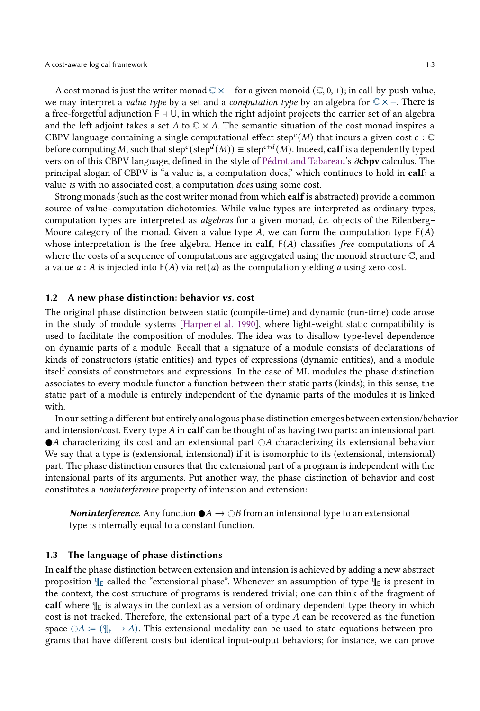A cost monad is just the writer monad  $\mathbb{C} \times -$  for a given monoid  $(\mathbb{C}, 0, +)$ ; in call-by-push-value, we may interpret a *value type* by a set and a *computation type* by an algebra for  $\mathbb{C} \times \mathbb{-}$ . There is a free-forgetful adjunction F ⊣ U, in which the right adjoint projects the carrier set of an algebra and the left adjoint takes a set A to  $\mathbb{C} \times A$ . The semantic situation of the cost monad inspires a CBPV language containing a single computational effect step<sup>c</sup>(M) that incurs a given cost  $c : \mathbb{C}$ before computing M, such that step $^c$ (step $^d(M)$ )  $\equiv$  step $^{c+d}(M)$ . Indeed,  $\bf{calf}$  is a dependently typed version of this CBPV language, defined in the style of [Pédrot and Tabareau'](#page-27-2)s  $\partial$ cbpv calculus. The principal slogan of CBPV is "a value is, a computation does," which continues to hold in calf: a value is with no associated cost, a computation does using some cost.

Strong monads (such as the cost writer monad from which calf is abstracted) provide a common source of value–computation dichotomies. While value types are interpreted as ordinary types, computation types are interpreted as algebras for a given monad, i.e. objects of the Eilenberg– Moore category of the monad. Given a value type  $A$ , we can form the computation type  $F(A)$ whose interpretation is the free algebra. Hence in calf,  $F(A)$  classifies free computations of A where the costs of a sequence of computations are aggregated using the monoid structure  $\mathbb{C}$ , and a value  $a : A$  is injected into  $F(A)$  via ret(*a*) as the computation yielding *a* using zero cost.

#### 1.2 A new phase distinction: behavior vs. cost

The original phase distinction between static (compile-time) and dynamic (run-time) code arose in the study of module systems [\[Harper et al. 1990\]](#page-26-3), where light-weight static compatibility is used to facilitate the composition of modules. The idea was to disallow type-level dependence on dynamic parts of a module. Recall that a signature of a module consists of declarations of kinds of constructors (static entities) and types of expressions (dynamic entities), and a module itself consists of constructors and expressions. In the case of ML modules the phase distinction associates to every module functor a function between their static parts (kinds); in this sense, the static part of a module is entirely independent of the dynamic parts of the modules it is linked with.

In our setting a different but entirely analogous phase distinction emerges between extension/behavior and intension/cost. Every type  $A$  in calf can be thought of as having two parts: an intensional part  $\bullet$ A characterizing its cost and an extensional part  $\circ$ A characterizing its extensional behavior. We say that a type is (extensional, intensional) if it is isomorphic to its (extensional, intensional) part. The phase distinction ensures that the extensional part of a program is independent with the intensional parts of its arguments. Put another way, the phase distinction of behavior and cost constitutes a noninterference property of intension and extension:

**Noninterference.** Any function  $\bullet A \rightarrow \circ B$  from an intensional type to an extensional type is internally equal to a constant function.

#### <span id="page-2-0"></span>1.3 The language of phase distinctions

In calfthe phase distinction between extension and intension is achieved by adding a new abstract proposition  $\P_{\text{E}}$  called the "extensional phase". Whenever an assumption of type  $\P_{\text{E}}$  is present in the context, the cost structure of programs is rendered trivial; one can think of the fragment of calf where  $\P_{E}$  is always in the context as a version of ordinary dependent type theory in which cost is not tracked. Therefore, the extensional part of a type  $A$  can be recovered as the function space  $\bigcirc A \coloneqq (\P_E \to A)$ . This extensional modality can be used to state equations between programs that have different costs but identical input-output behaviors; for instance, we can prove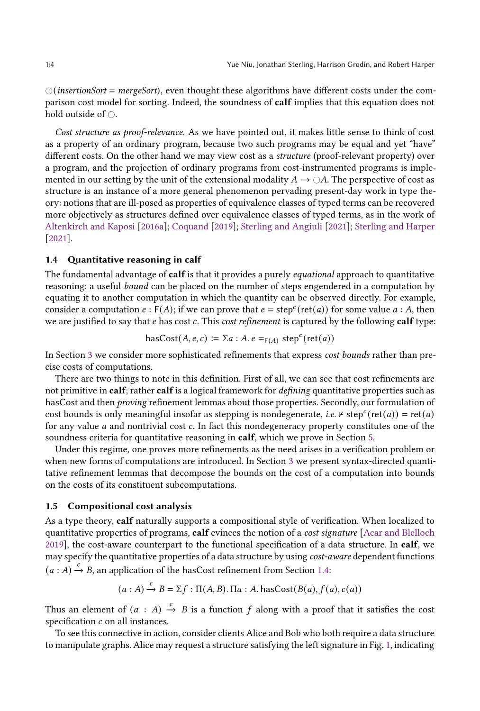$\bigcirc$  (insertionSort = mergeSort), even thought these algorithms have different costs under the comparison cost model for sorting. Indeed, the soundness of calf implies that this equation does not hold outside of  $\bigcirc$ .

Cost structure as proof-relevance. As we have pointed out, it makes little sense to think of cost as a property of an ordinary program, because two such programs may be equal and yet "have" different costs. On the other hand we may view cost as a structure (proof-relevant property) over a program, and the projection of ordinary programs from cost-instrumented programs is implemented in our setting by the unit of the extensional modality  $A \to \bigcirc A$ . The perspective of cost as structure is an instance of a more general phenomenon pervading present-day work in type theory: notions that are ill-posed as properties of equivalence classes of typed terms can be recovered more objectively as structures defined over equivalence classes of typed terms, as in the work of [Altenkirch and Kaposi](#page-25-3) [\[2016a\]](#page-25-3); [Coquand](#page-26-4) [\[2019\]](#page-26-4); [Sterling and Angiuli](#page-28-3) [\[2021](#page-28-3)]; [Sterling and Harper](#page-28-0) [\[2021\]](#page-28-0).

## <span id="page-3-0"></span>1.4 Quantitative reasoning in calf

The fundamental advantage of calf is that it provides a purely *equational* approach to quantitative reasoning: a useful bound can be placed on the number of steps engendered in a computation by equating it to another computation in which the quantity can be observed directly. For example, consider a computation  $e : F(A)$ ; if we can prove that  $e = step^c(\text{ret}(a))$  for some value  $a : A$ , then we are justified to say that *e* has cost *c*. This *cost refinement* is captured by the following **calf** type:

$$
hasCost(A, e, c) := \sum a : A \cdot e =_{F(A)} step^c(\text{ret}(a))
$$

In Section [3](#page-12-0) we consider more sophisticated refinements that express cost bounds rather than precise costs of computations.

There are two things to note in this definition. First of all, we can see that cost refinements are not primitive in calf; rather calf is a logical framework for *defining* quantitative properties such as hasCost and then *proving* refinement lemmas about those properties. Secondly, our formulation of cost bounds is only meaningful insofar as stepping is nondegenerate, *i.e.*  $\kappa$  step<sup>c</sup>(ret(*a*)) = ret(*a*) for any value  $a$  and nontrivial cost  $c$ . In fact this nondegeneracy property constitutes one of the soundness criteria for quantitative reasoning in calf, which we prove in Section [5.](#page-20-0)

Under this regime, one proves more refinements as the need arises in a verification problem or when new forms of computations are introduced. In Section [3](#page-12-0) we present syntax-directed quantitative refinement lemmas that decompose the bounds on the cost of a computation into bounds on the costs of its constituent subcomputations.

#### 1.5 Compositional cost analysis

As a type theory, calf naturally supports a compositional style of verification. When localized to quantitative properties of programs, calf evinces the notion of a *cost signature* [\[Acar and Blelloch](#page-25-4) [2019\]](#page-25-4), the cost-aware counterpart to the functional specification of a data structure. In calf, we may specify the quantitative properties of a data structure by using cost-aware dependent functions  $(a : A) \xrightarrow{c} B$ , an application of the hasCost refinement from Section [1.4:](#page-3-0)

$$
(a : A) \xrightarrow{c} B = \Sigma f : \Pi(A, B) \cdot \Pi a : A \cdot \text{hasCost}(B(a), f(a), c(a))
$$

Thus an element of  $(a : A) \stackrel{c}{\rightarrow} B$  is a function  $f$  along with a proof that it satisfies the cost specification  $c$  on all instances.

To see this connective in action, consider clients Alice and Bob who both require a data structure to manipulate graphs. Alice may request a structure satisfying the left signature in Fig. [1,](#page-4-0) indicating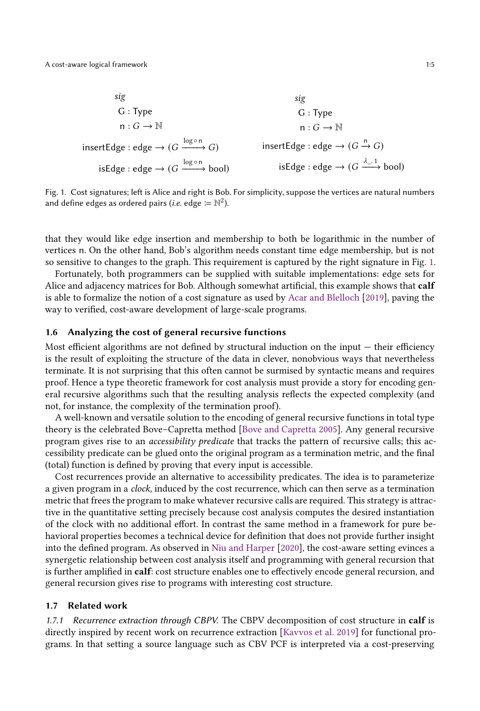<span id="page-4-0"></span>\n sig\n 
$$
G: Type
$$
\n $G: Type$ \n $n: G \to \mathbb{N}$ \n

\n\n insertEdge : edge →  $(G \xrightarrow{log \circ n} G)$ \n

\n\n isEdge : edge →  $(G \xrightarrow{log \circ n} b \circ o)$ \n

\n\n isEdge : edge →  $(G \xrightarrow{log \circ n} b \circ o)$ \n

\n\n isEdge : edge →  $(G \xrightarrow{A_1, 1} b \circ o)$ \n

Fig. 1. Cost signatures; left is Alice and right is Bob. For simplicity, suppose the vertices are natural numbers and define edges as ordered pairs (*i.e.* edge :=  $\mathbb{N}^2$ ).

that they would like edge insertion and membership to both be logarithmic in the number of vertices n. On the other hand, Bob's algorithm needs constant time edge membership, but is not so sensitive to changes to the graph. This requirement is captured by the right signature in Fig. [1.](#page-4-0)

Fortunately, both programmers can be supplied with suitable implementations: edge sets for Alice and adjacency matrices for Bob. Although somewhat artificial, this example shows that calf is able to formalize the notion of a cost signature as used by [Acar and Blelloch](#page-25-4) [\[2019\]](#page-25-4), paving the way to verified, cost-aware development of large-scale programs.

## <span id="page-4-1"></span>1.6 Analyzing the cost of general recursive functions

Most efficient algorithms are not defined by structural induction on the input — their efficiency is the result of exploiting the structure of the data in clever, nonobvious ways that nevertheless terminate. It is not surprising that this often cannot be surmised by syntactic means and requires proof. Hence a type theoretic framework for cost analysis must provide a story for encoding general recursive algorithms such that the resulting analysis reflects the expected complexity (and not, for instance, the complexity of the termination proof).

A well-known and versatile solution to the encoding of general recursive functions in total type theory is the celebrated Bove–Capretta method [\[Bove and Capretta 2005\]](#page-25-5). Any general recursive program gives rise to an accessibility predicate that tracks the pattern of recursive calls; this accessibility predicate can be glued onto the original program as a termination metric, and the final (total) function is defined by proving that every input is accessible.

Cost recurrences provide an alternative to accessibility predicates. The idea is to parameterize a given program in a clock, induced by the cost recurrence, which can then serve as a termination metric that frees the program to make whatever recursive calls are required. This strategy is attractive in the quantitative setting precisely because cost analysis computes the desired instantiation of the clock with no additional effort. In contrast the same method in a framework for pure behavioral properties becomes a technical device for definition that does not provide further insight into the defined program. As observed in [Niu and Harper](#page-27-4) [\[2020\]](#page-27-4), the cost-aware setting evinces a synergetic relationship between cost analysis itself and programming with general recursion that is further amplified in calf: cost structure enables one to effectively encode general recursion, and general recursion gives rise to programs with interesting cost structure.

## 1.7 Related work

1.7.1 Recurrence extraction through CBPV. The CBPV decomposition of cost structure in calf is directly inspired by recent work on recurrence extraction [\[Kavvos et al. 2019\]](#page-27-1) for functional programs. In that setting a source language such as CBV PCF is interpreted via a cost-preserving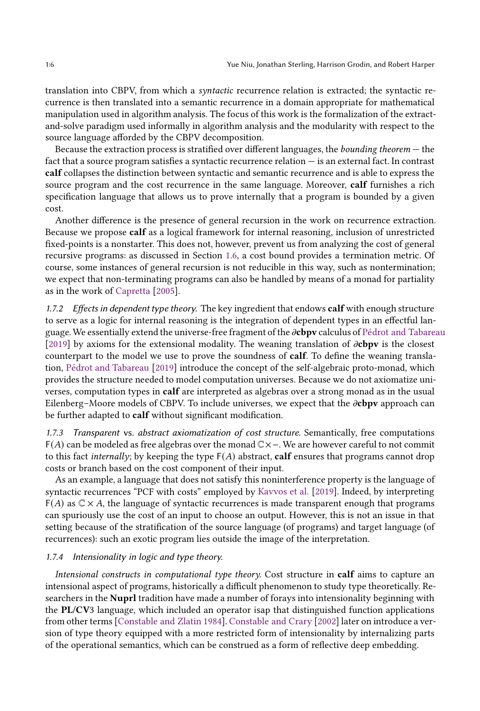translation into CBPV, from which a syntactic recurrence relation is extracted; the syntactic recurrence is then translated into a semantic recurrence in a domain appropriate for mathematical manipulation used in algorithm analysis. The focus of this work is the formalization of the extractand-solve paradigm used informally in algorithm analysis and the modularity with respect to the source language afforded by the CBPV decomposition.

Because the extraction process is stratified over different languages, the bounding theorem — the fact that a source program satisfies a syntactic recurrence relation — is an external fact. In contrast calf collapses the distinction between syntactic and semantic recurrence and is able to express the source program and the cost recurrence in the same language. Moreover, calf furnishes a rich specification language that allows us to prove internally that a program is bounded by a given cost.

Another difference is the presence of general recursion in the work on recurrence extraction. Because we propose calf as a logical framework for internal reasoning, inclusion of unrestricted fixed-points is a nonstarter. This does not, however, prevent us from analyzing the cost of general recursive programs: as discussed in Section [1.6,](#page-4-1) a cost bound provides a termination metric. Of course, some instances of general recursion is not reducible in this way, such as nontermination; we expect that non-terminating programs can also be handled by means of a monad for partiality as in the work of [Capretta](#page-26-5) [\[2005\]](#page-26-5).

1.7.2 Effects in dependent type theory. The key ingredient that endows calf with enough structure to serve as a logic for internal reasoning is the integration of dependent types in an effectful language. We essentially extend the universe-free fragment of the  $\partial$ cbpv calculus of [Pédrot and Tabareau](#page-27-2) [\[2019\]](#page-27-2) by axioms for the extensional modality. The weaning translation of  $\partial$ cbpv is the closest counterpart to the model we use to prove the soundness of calf. To define the weaning translation, [Pédrot and Tabareau](#page-27-2) [\[2019\]](#page-27-2) introduce the concept of the self-algebraic proto-monad, which provides the structure needed to model computation universes. Because we do not axiomatize universes, computation types in calf are interpreted as algebras over a strong monad as in the usual Eilenberg–Moore models of CBPV. To include universes, we expect that the  $\partial$ cbpv approach can be further adapted to calf without significant modification.

<span id="page-5-0"></span>1.7.3 Transparent vs. abstract axiomatization of cost structure. Semantically, free computations F(𝐴) can be modeled as free algebras over the monad C×−. We are however careful to not commit to this fact *internally*; by keeping the type  $F(A)$  abstract, calf ensures that programs cannot drop costs or branch based on the cost component of their input.

As an example, a language that does not satisfy this noninterference property is the language of syntactic recurrences "PCF with costs" employed by [Kavvos et al.](#page-27-1) [\[2019\]](#page-27-1). Indeed, by interpreting  $F(A)$  as  $C \times A$ , the language of syntactic recurrences is made transparent enough that programs can spuriously use the cost of an input to choose an output. However, this is not an issue in that setting because of the stratification of the source language (of programs) and target language (of recurrences): such an exotic program lies outside the image of the interpretation.

## 1.7.4 Intensionality in logic and type theory.

Intensional constructs in computational type theory. Cost structure in calf aims to capture an intensional aspect of programs, historically a difficult phenomenon to study type theoretically. Researchers in the Nuprl tradition have made a number of forays into intensionality beginning with the PL/CV3 language, which included an operator isap that distinguished function applications from other terms [\[Constable and Zlatin 1984\]](#page-26-6). [Constable and Crary](#page-26-7) [\[2002](#page-26-7)] later on introduce a version of type theory equipped with a more restricted form of intensionality by internalizing parts of the operational semantics, which can be construed as a form of reflective deep embedding.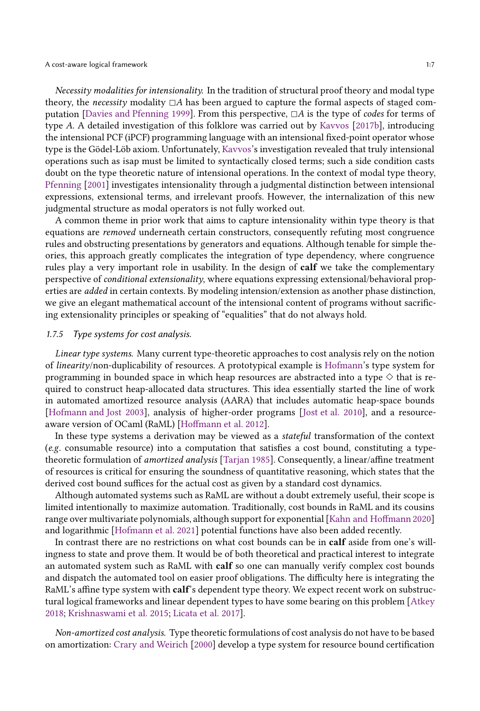Necessity modalities for intensionality. In the tradition of structural proof theory and modal type theory, the necessity modality  $\Box A$  has been argued to capture the formal aspects of staged com-putation [\[Davies and Pfenning 1999](#page-26-8)]. From this perspective,  $\Box A$  is the type of codes for terms of type A. A detailed investigation of this folklore was carried out by [Kavvos](#page-27-5) [\[2017b\]](#page-27-5), introducing the intensional PCF (iPCF) programming language with an intensional fixed-point operator whose type is the Gödel-Löb axiom. Unfortunately, [Kavvos'](#page-27-6)s investigation revealed that truly intensional operations such as isap must be limited to syntactically closed terms; such a side condition casts doubt on the type theoretic nature of intensional operations. In the context of modal type theory, [Pfenning](#page-27-7) [\[2001](#page-27-7)] investigates intensionality through a judgmental distinction between intensional expressions, extensional terms, and irrelevant proofs. However, the internalization of this new judgmental structure as modal operators is not fully worked out.

A common theme in prior work that aims to capture intensionality within type theory is that equations are removed underneath certain constructors, consequently refuting most congruence rules and obstructing presentations by generators and equations. Although tenable for simple theories, this approach greatly complicates the integration of type dependency, where congruence rules play a very important role in usability. In the design of calf we take the complementary perspective of conditional extensionality, where equations expressing extensional/behavioral properties are added in certain contexts. By modeling intension/extension as another phase distinction, we give an elegant mathematical account of the intensional content of programs without sacrificing extensionality principles or speaking of "equalities" that do not always hold.

#### 1.7.5 Type systems for cost analysis.

Linear type systems. Many current type-theoretic approaches to cost analysis rely on the notion of linearity/non-duplicability of resources. A prototypical example is [Hofmann'](#page-26-9)s type system for programming in bounded space in which heap resources are abstracted into a type  $\diamond$  that is required to construct heap-allocated data structures. This idea essentially started the line of work in automated amortized resource analysis (AARA) that includes automatic heap-space bounds [\[Hofmann and Jost 2003\]](#page-27-8), analysis of higher-order programs [\[Jost et al. 2010\]](#page-27-9), and a resourceaware version of OCaml (RaML) [\[Hoffmann et al. 2012](#page-26-10)].

In these type systems a derivation may be viewed as a stateful transformation of the context (e.g. consumable resource) into a computation that satisfies a cost bound, constituting a typetheoretic formulation of amortized analysis [\[Tarjan 1985\]](#page-28-4). Consequently, a linear/affine treatment of resources is critical for ensuring the soundness of quantitative reasoning, which states that the derived cost bound suffices for the actual cost as given by a standard cost dynamics.

Although automated systems such as RaML are without a doubt extremely useful, their scope is limited intentionally to maximize automation. Traditionally, cost bounds in RaML and its cousins range over multivariate polynomials, although support for exponential [\[Kahn and Hoffmann 2020\]](#page-27-10) and logarithmic [Hofmann et al. 2021] potential functions have also been added recently.

In contrast there are no restrictions on what cost bounds can be in **calf** aside from one's willingness to state and prove them. It would be of both theoretical and practical interest to integrate an automated system such as RaML with calf so one can manually verify complex cost bounds and dispatch the automated tool on easier proof obligations. The difficulty here is integrating the RaML's affine type system with calf's dependent type theory. We expect recent work on substructural logical frameworks and linear dependent types to have some bearing on this problem [\[Atkey](#page-25-6) [2018;](#page-25-6) [Krishnaswami et al. 2015;](#page-27-11) [Licata et al. 2017\]](#page-27-12).

Non-amortized cost analysis. Type theoretic formulations of cost analysis do not have to be based on amortization: [Crary and Weirich](#page-26-11) [\[2000](#page-26-11)] develop a type system for resource bound certification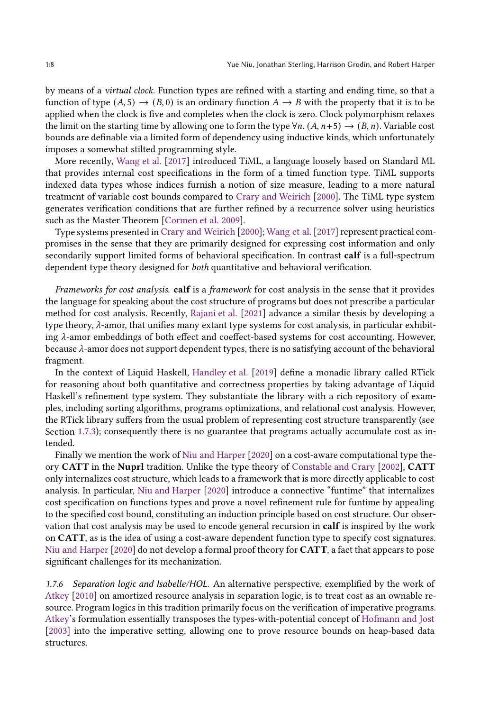by means of a virtual clock. Function types are refined with a starting and ending time, so that a function of type  $(A, 5) \rightarrow (B, 0)$  is an ordinary function  $A \rightarrow B$  with the property that it is to be applied when the clock is five and completes when the clock is zero. Clock polymorphism relaxes the limit on the starting time by allowing one to form the type  $\forall n$ . (A,  $n+5$ )  $\rightarrow$  (B, n). Variable cost bounds are definable via a limited form of dependency using inductive kinds, which unfortunately imposes a somewhat stilted programming style.

More recently, [Wang et al.](#page-28-5) [\[2017\]](#page-28-5) introduced TiML, a language loosely based on Standard ML that provides internal cost specifications in the form of a timed function type. TiML supports indexed data types whose indices furnish a notion of size measure, leading to a more natural treatment of variable cost bounds compared to [Crary and Weirich](#page-26-11) [\[2000\]](#page-26-11). The TiML type system generates verification conditions that are further refined by a recurrence solver using heuristics such as the Master Theorem [\[Cormen et al. 2009\]](#page-26-12).

Type systems presented in [Crary and Weirich](#page-26-11) [\[2000\]](#page-26-11); [Wang et al.\[2017\]](#page-28-5) represent practical compromises in the sense that they are primarily designed for expressing cost information and only secondarily support limited forms of behavioral specification. In contrast calf is a full-spectrum dependent type theory designed for both quantitative and behavioral verification.

Frameworks for cost analysis. calf is a framework for cost analysis in the sense that it provides the language for speaking about the cost structure of programs but does not prescribe a particular method for cost analysis. Recently, [Rajani et al.](#page-27-13) [\[2021\]](#page-27-13) advance a similar thesis by developing a type theory,  $\lambda$ -amor, that unifies many extant type systems for cost analysis, in particular exhibiting  $\lambda$ -amor embeddings of both effect and coeffect-based systems for cost accounting. However, because  $\lambda$ -amor does not support dependent types, there is no satisfying account of the behavioral fragment.

In the context of Liquid Haskell, [Handley et al.](#page-26-13) [\[2019\]](#page-26-13) define a monadic library called RTick for reasoning about both quantitative and correctness properties by taking advantage of Liquid Haskell's refinement type system. They substantiate the library with a rich repository of examples, including sorting algorithms, programs optimizations, and relational cost analysis. However, the RTick library suffers from the usual problem of representing cost structure transparently (see Section [1.7.3\)](#page-5-0); consequently there is no guarantee that programs actually accumulate cost as intended.

Finally we mention the work of [Niu and Harper](#page-27-4) [\[2020\]](#page-27-4) on a cost-aware computational type theory CATT in the Nuprl tradition. Unlike the type theory of [Constable and Crary](#page-26-7) [\[2002\]](#page-26-7), CATT only internalizes cost structure, which leads to a framework that is more directly applicable to cost analysis. In particular, [Niu and Harper](#page-27-4) [\[2020\]](#page-27-4) introduce a connective "funtime" that internalizes cost specification on functions types and prove a novel refinement rule for funtime by appealing to the specified cost bound, constituting an induction principle based on cost structure. Our observation that cost analysis may be used to encode general recursion in calf is inspired by the work on CATT, as is the idea of using a cost-aware dependent function type to specify cost signatures. [Niu and Harper](#page-27-4) [\[2020\]](#page-27-4) do not develop a formal proof theory for CATT, a fact that appears to pose significant challenges for its mechanization.

1.7.6 Separation logic and Isabelle/HOL. An alternative perspective, exemplified by the work of [Atkey](#page-25-7) [\[2010\]](#page-25-7) on amortized resource analysis in separation logic, is to treat cost as an ownable resource. Program logics in this tradition primarily focus on the verification of imperative programs. [Atkey](#page-25-7)'s formulation essentially transposes the types-with-potential concept of [Hofmann and Jost](#page-27-8) [\[2003\]](#page-27-8) into the imperative setting, allowing one to prove resource bounds on heap-based data structures.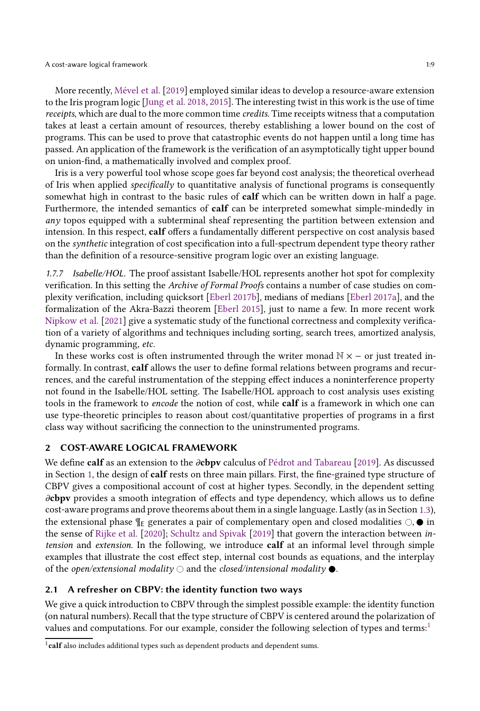More recently, [Mével et al.](#page-27-14) [\[2019\]](#page-27-14) employed similar ideas to develop a resource-aware extension to the Iris program logic [\[Jung et al. 2018,](#page-27-15) [2015\]](#page-27-16). The interesting twist in this work is the use of time receipts, which are dual to the more common time credits. Time receipts witness that a computation takes at least a certain amount of resources, thereby establishing a lower bound on the cost of programs. This can be used to prove that catastrophic events do not happen until a long time has passed. An application of the framework is the verification of an asymptotically tight upper bound on union-find, a mathematically involved and complex proof.

Iris is a very powerful tool whose scope goes far beyond cost analysis; the theoretical overhead of Iris when applied *specifically* to quantitative analysis of functional programs is consequently somewhat high in contrast to the basic rules of **calf** which can be written down in half a page. Furthermore, the intended semantics of calf can be interpreted somewhat simple-mindedly in any topos equipped with a subterminal sheaf representing the partition between extension and intension. In this respect, calf offers a fundamentally different perspective on cost analysis based on the synthetic integration of cost specification into a full-spectrum dependent type theory rather than the definition of a resource-sensitive program logic over an existing language.

1.7.7 Isabelle/HOL. The proof assistant Isabelle/HOL represents another hot spot for complexity verification. In this setting the Archive of Formal Proofs contains a number of case studies on complexity verification, including quicksort [\[Eberl 2017b\]](#page-26-14), medians of medians [\[Eberl 2017a\]](#page-26-15), and the formalization of the Akra-Bazzi theorem [\[Eberl 2015\]](#page-26-16), just to name a few. In more recent work [Nipkow et al.](#page-27-17) [\[2021\]](#page-27-17) give a systematic study of the functional correctness and complexity verification of a variety of algorithms and techniques including sorting, search trees, amortized analysis, dynamic programming, etc.

In these works cost is often instrumented through the writer monad  $\mathbb{N} \times -$  or just treated informally. In contrast, calf allows the user to define formal relations between programs and recurrences, and the careful instrumentation of the stepping effect induces a noninterference property not found in the Isabelle/HOL setting. The Isabelle/HOL approach to cost analysis uses existing tools in the framework to *encode* the notion of cost, while **calf** is a framework in which one can use type-theoretic principles to reason about cost/quantitative properties of programs in a first class way without sacrificing the connection to the uninstrumented programs.

#### 2 COST-AWARE LOGICAL FRAMEWORK

We define calf as an extension to the  $\partial$ cbpv calculus of [Pédrot and Tabareau](#page-27-2) [\[2019\]](#page-27-2). As discussed in Section [1,](#page-0-0) the design of calf rests on three main pillars. First, the fine-grained type structure of CBPV gives a compositional account of cost at higher types. Secondly, in the dependent setting  $\partial$ cbpv provides a smooth integration of effects and type dependency, which allows us to define cost-aware programs and prove theorems about them in a single language. Lastly (as in Section [1.3\)](#page-2-0), the extensional phase  $\P$ <sub>E</sub> generates a pair of complementary open and closed modalities  $\bigcirc$ ,  $\bullet$  in the sense of [Rijke et al.](#page-28-6) [\[2020\]](#page-28-6); [Schultz and Spivak](#page-28-7) [\[2019\]](#page-28-7) that govern the interaction between intension and extension. In the following, we introduce calf at an informal level through simple examples that illustrate the cost effect step, internal cost bounds as equations, and the interplay of the *open/extensional modality*  $\bigcirc$  and the *closed/intensional modality*  $\bullet$ .

#### 2.1 A refresher on CBPV: the identity function two ways

We give a quick introduction to CBPV through the simplest possible example: the identity function (on natural numbers). Recall that the type structure of CBPV is centered around the polarization of values and computations. For our example, consider the following selection of types and terms:[1](#page-8-0)

<span id="page-8-0"></span><sup>&</sup>lt;sup>1</sup>calf also includes additional types such as dependent products and dependent sums.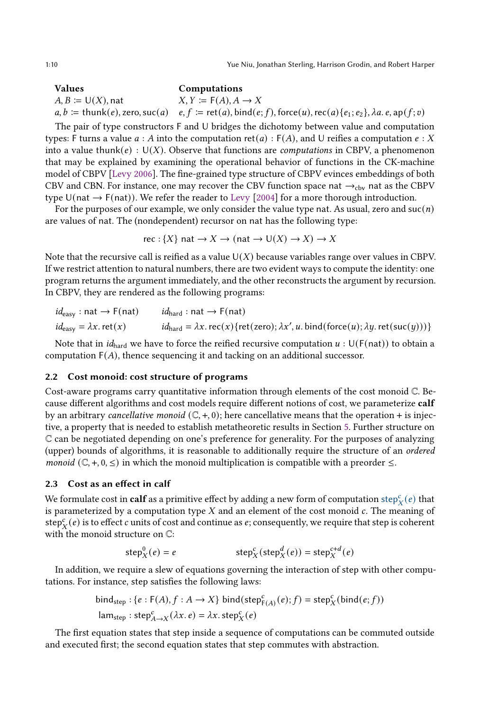1:10 Yue Niu, Jonathan Sterling, Harrison Grodin, and Robert Harper

Values Computations  $A, B \coloneqq \bigcup(X)$ , nat  $X, Y \coloneqq F(A), A \to X$  $a, b := \text{thunk}(e), \text{zero}, \text{succ}(a) \quad e, f := \text{ret}(a), \text{bind}(e; f), \text{force}(u), \text{rec}(a) \{e_1; e_2\}, \lambda a. e, \text{ap}(f; v)$ 

The pair of type constructors F and U bridges the dichotomy between value and computation types: F turns a value  $a : A$  into the computation ret( $a$ ) : F(A), and U reifies a computation  $e : X$ into a value thunk( $e$ ) : U( $X$ ). Observe that functions are *computations* in CBPV, a phenomenon that may be explained by examining the operational behavior of functions in the CK-machine model of CBPV [\[Levy 2006](#page-27-18)]. The fine-grained type structure of CBPV evinces embeddings of both CBV and CBN. For instance, one may recover the CBV function space nat  $\rightarrow_{\text{cbv}}$  nat as the CBPV type  $U(nat \rightarrow F(nat))$ . We refer the reader to [Levy](#page-27-3) [\[2004](#page-27-3)] for a more thorough introduction.

For the purposes of our example, we only consider the value type nat. As usual, zero and  $succ(n)$ are values of nat. The (nondependent) recursor on nat has the following type:

$$
rec: {X} \text{ nat} \to X \to (\text{nat} \to \text{U}(X) \to X) \to X
$$

Note that the recursive call is reified as a value  $U(X)$  because variables range over values in CBPV. If we restrict attention to natural numbers, there are two evident ways to compute the identity: one program returns the argument immediately, and the other reconstructs the argument by recursion. In CBPV, they are rendered as the following programs:

| $id_{\text{easy}} : \text{nat} \rightarrow \text{F}(\text{nat})$ | $id_{\text{hard}}: \text{nat} \rightarrow \text{F}(\text{nat})$                                                                                                         |
|------------------------------------------------------------------|-------------------------------------------------------------------------------------------------------------------------------------------------------------------------|
| $id_{\text{easy}} = \lambda x. \text{ ret}(x)$                   | $id_{\text{hard}} = \lambda x \cdot \text{rec}(x) \{ \text{ret}(zero); \lambda x', u \cdot \text{bind}(\text{force}(u); \lambda y \cdot \text{ret}(\text{succ}(y))) \}$ |

Note that in *id*<sub>hard</sub> we have to force the reified recursive computation  $u : U(F(nat))$  to obtain a computation  $F(A)$ , thence sequencing it and tacking on an additional successor.

#### 2.2 Cost monoid: cost structure of programs

Cost-aware programs carry quantitative information through elements of the cost monoid C. Because different algorithms and cost models require different notions of cost, we parameterize calf by an arbitrary *cancellative monoid*  $(\mathbb{C}, +, 0)$ ; here cancellative means that the operation + is injective, a property that is needed to establish metatheoretic results in Section [5.](#page-20-0) Further structure on C can be negotiated depending on one's preference for generality. For the purposes of analyzing (upper) bounds of algorithms, it is reasonable to additionally require the structure of an ordered *monoid* ( $\mathbb{C}, +, 0, \leq$ ) in which the monoid multiplication is compatible with a preorder  $\leq$ .

#### <span id="page-9-0"></span>2.3 Cost as an effect in calf

We formulate cost in  ${\bf calf}$  as a primitive effect by adding a new form of computation  ${\rm step}_X^c(e)$  that is parameterized by a computation type  $X$  and an element of the cost monoid  $c$ . The meaning of  $\mathsf{step}^c_X(e)$  is to effect  $c$  units of cost and continue as  $e;$  consequently, we require that step is coherent with the monoid structure on C:

$$
step_X^0(e) = e
$$
  $step_X^c(step_X^d(e)) = step_X^{c+d}(e)$ 

In addition, we require a slew of equations governing the interaction of step with other computations. For instance, step satisfies the following laws:

$$
bind_{step}: \{e : F(A), f : A \to X\} \text{ bind}(\text{step}^c_{F(A)}(e); f) = \text{step}^c_X(\text{bind}(e; f))
$$

$$
lam_{step}: step^c_{A \to X}(\lambda x. e) = \lambda x. step^c_X(e)
$$

The first equation states that step inside a sequence of computations can be commuted outside and executed first; the second equation states that step commutes with abstraction.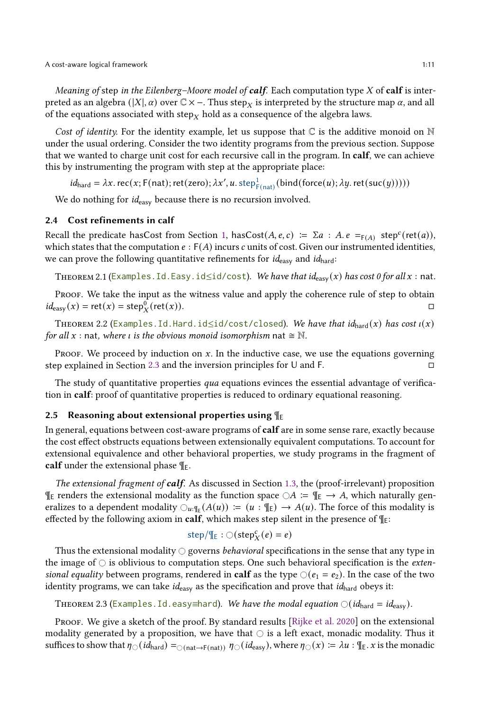Meaning of step in the Eilenberg–Moore model of calf. Each computation type  $X$  of calf is interpreted as an algebra (|X|,  $\alpha$ ) over  $\mathbb{C}\times$  –. Thus step $_X$  is interpreted by the structure map  $\alpha$ , and all of the equations associated with step<sub>X</sub> hold as a consequence of the algebra laws.

Cost of identity. For the identity example, let us suppose that  $\mathbb C$  is the additive monoid on  $\mathbb N$ under the usual ordering. Consider the two identity programs from the previous section. Suppose that we wanted to charge unit cost for each recursive call in the program. In calf, we can achieve this by instrumenting the program with step at the appropriate place:

 $id_{\text{hard}} = \lambda x. \text{rec}(x; \text{F}(\text{nat}); \text{ret}(\text{zero}); \lambda x', u. \text{step}_{\text{F}(\text{nat})}^1(\text{bind}(\text{force}(u); \lambda y. \text{ret}(\text{succ}(y))))$ 

We do nothing for *id<sub>easy</sub>* because there is no recursion involved.

## 2.4 Cost refinements in calf

Recall the predicate hasCost from Section [1,](#page-0-0) hasCost( $A, e, c$ ) :=  $\Sigma a : A, e =_{F(A)} \text{step}^c(\text{ret}(a)),$ which states that the computation  $e : F(A)$  incurs c units of cost. Given our instrumented identities, we can prove the following quantitative refinements for  $id_{\text{easy}}$  and  $id_{\text{hard}}$ :

THEOREM 2.1 (Examples. Id. Easy.  $id \leq id/cost$ ). We have that  $id_{easy}(x)$  has cost 0 for all x : nat.

Proof. We take the input as the witness value and apply the coherence rule of step to obtain  $id_{\text{easy}}(x) = \text{ret}(x) = \text{step}_{X}^{0}$  $(\text{ret}(x))$ .

THEOREM 2.2 (Examples. Id. Hard. id≤id/cost/closed). We have that  $id_{\text{hard}}(x)$  has cost  $\iota(x)$ for all x : nat, where *i* is the obvious monoid isomorphism nat  $\cong \mathbb{N}$ .

Proof. We proceed by induction on  $x$ . In the inductive case, we use the equations governing step explained in Section [2.3](#page-9-0) and the inversion principles for U and F.

The study of quantitative properties *qua* equations evinces the essential advantage of verification in calf: proof of quantitative properties is reduced to ordinary equational reasoning.

#### 2.5 Reasoning about extensional properties using  $\P$ <sub>E</sub>

In general, equations between cost-aware programs of calf are in some sense rare, exactly because the cost effect obstructs equations between extensionally equivalent computations. To account for extensional equivalence and other behavioral properties, we study programs in the fragment of calf under the extensional phase  $\P$ <sub>E</sub>.

The extensional fragment of **calf**. As discussed in Section [1.3,](#page-2-0) the (proof-irrelevant) proposition  $\P$ <sub>E</sub> renders the extensional modality as the function space  $\bigcirc A := \P$ <sub>E</sub> → A, which naturally generalizes to a dependent modality  $\bigcirc_{u:\mathbb{I}_{E}}(A(u)) := (u:\mathbb{I}_{E}) \to A(u)$ . The force of this modality is effected by the following axiom in **calf**, which makes step silent in the presence of  $\P$ <sub>E</sub>:

$$
\text{step}/\P_E : \bigcirc (\text{step}_X^c(e) = e)
$$

Thus the extensional modality  $\bigcirc$  governs *behavioral* specifications in the sense that any type in the image of  $\circ$  is oblivious to computation steps. One such behavioral specification is the *exten*sional equality between programs, rendered in calf as the type  $\bigcirc (e_1 = e_2)$ . In the case of the two identity programs, we can take  $id_{\text{easy}}$  as the specification and prove that  $id_{\text{hard}}$  obeys it:

THEOREM 2.3 (Examples. Id. easy≡hard). We have the modal equation  $\bigcirc (id_{\text{hard}} = id_{\text{easy}})$ .

PROOF. We give a sketch of the proof. By standard results [\[Rijke et al. 2020\]](#page-28-6) on the extensional modality generated by a proposition, we have that  $\bigcirc$  is a left exact, monadic modality. Thus it suffices to show that  $\eta_{\text{O}}(id_{\text{hard}}) =_{\text{O}(\text{nat}\to\text{F(nat)})} \eta_{\text{O}}(id_{\text{easy}})$ , where  $\eta_{\text{O}}(x) := \lambda u : \text{{\#}}_E x$  is the monadic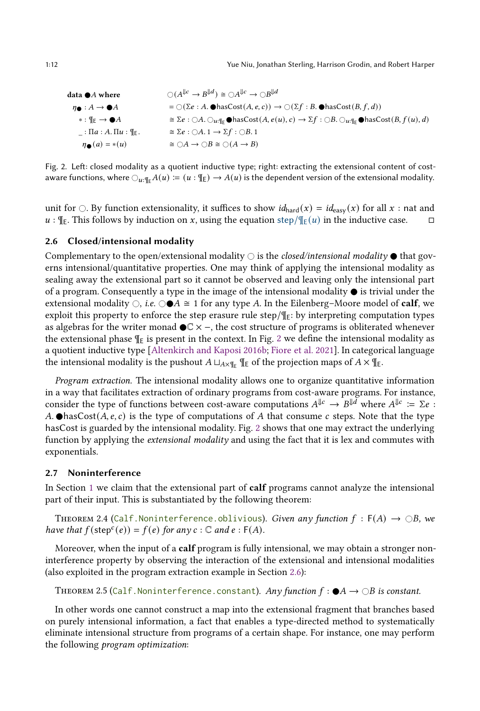<span id="page-11-0"></span>data **•** A where  
\n
$$
\begin{aligned}\n\mathbf{Q}(A^{\parallel c} \rightarrow B^{\parallel d}) &\cong \bigcirc A^{\parallel c} \rightarrow \bigcirc B^{\parallel d} \\
\mathbf{Q} : A \rightarrow \mathbf{Q}A \\
&= \bigcirc (\Sigma e : A. \mathbf{Q} \text{ hasCost}(A, e, c)) \rightarrow \bigcirc (\Sigma f : B. \mathbf{Q} \text{ hasCost}(B, f, d)) \\
&= \mathbb{R} \rightarrow \mathbf{Q}A \\
&= \Sigma e : \bigcirc A. \bigcirc_{u : \mathbb{I}_E} \mathbf{Q} \text{ hasCost}(A, e(u), c) \rightarrow \Sigma f : \bigcirc B. \bigcirc_{u : \mathbb{I}_E} \mathbf{Q} \text{ hasCost}(B, f(u), d) \\
&= \mathbb{R} \times \mathbf{Q} : \bigcirc A. \mathbf{Q} \rightarrow \mathbf{Q}B \land \mathbf{Q} \text{ hasCost}(A, e(u), c) \rightarrow \Sigma f : \bigcirc B. \bigcirc_{u : \mathbb{I}_E} \mathbf{Q} \text{ hasCost}(B, f(u), d)\n\end{aligned}
$$

Fig. 2. Left: closed modality as a quotient inductive type; right: extracting the extensional content of costaware functions, where  $\bigcirc_{u:\mathbb{F}_F} A(u) := (u : \mathbb{F}_E) \to A(u)$  is the dependent version of the extensional modality.

unit for  $\bigcirc$ . By function extensionality, it suffices to show  $id_{\text{hard}}(x) = id_{\text{easy}}(x)$  for all x : nat and  $u : \P_E$ . This follows by induction on x, using the equation step/ $\P_E(u)$  in the inductive case.  $\Box$ 

#### <span id="page-11-1"></span>2.6 Closed/intensional modality

Complementary to the open/extensional modality  $\bigcirc$  is the *closed/intensional modality*  $\bullet$  that governs intensional/quantitative properties. One may think of applying the intensional modality as sealing away the extensional part so it cannot be observed and leaving only the intensional part of a program. Consequently a type in the image of the intensional modality  $\bullet$  is trivial under the extensional modality  $\bigcirc$ , i.e.  $\bigcirc \bullet A \cong 1$  for any type A. In the Eilenberg–Moore model of **calf**, we exploit this property to enforce the step erasure rule step/ $\mathcal{F}_E$ : by interpreting computation types as algebras for the writer monad  $\mathbb{C} \times \mathsf{−}$ , the cost structure of programs is obliterated whenever the extensional phase  $\P$ <sub>E</sub> is present in the context. In Fig. [2](#page-11-0) we define the intensional modality as a quotient inductive type [\[Altenkirch and Kaposi 2016b](#page-25-8); [Fiore et al. 2021](#page-26-17)]. In categorical language the intensional modality is the pushout  $A \sqcup_{A \times \P_E} \P_E$  of the projection maps of  $A \times \P_E$ .

Program extraction. The intensional modality allows one to organize quantitative information in a way that facilitates extraction of ordinary programs from cost-aware programs. For instance, consider the type of functions between cost-aware computations  $A^{\Downarrow c} \to B^{\Downarrow d}$  where  $A^{\Downarrow c} \coloneqq \Sigma e$ : A.  $\bullet$ hasCost( $A, e, c$ ) is the type of computations of A that consume c steps. Note that the type hasCost is guarded by the intensional modality. Fig. [2](#page-11-0) shows that one may extract the underlying function by applying the extensional modality and using the fact that it is lex and commutes with exponentials.

## 2.7 Noninterference

In Section [1](#page-0-0) we claim that the extensional part of calf programs cannot analyze the intensional part of their input. This is substantiated by the following theorem:

THEOREM 2.4 (Calf.Noninterference.oblivious). Given any function  $f : F(A) \rightarrow \bigcirc B$ , we have that  $f(\text{step}^c(e)) = f(e)$  for any  $c : \mathbb{C}$  and  $e : F(A)$ .

Moreover, when the input of a calf program is fully intensional, we may obtain a stronger noninterference property by observing the interaction of the extensional and intensional modalities (also exploited in the program extraction example in Section [2.6\)](#page-11-1):

```
THEOREM 2.5 (Calf.Noninterference.constant). Any function f : \bigcirc A \to \bigcirc B is constant.
```
<span id="page-11-3"></span>In other words one cannot construct a map into the extensional fragment that branches based on purely intensional information, a fact that enables a type-directed method to systematically eliminate intensional structure from programs of a certain shape. For instance, one may perform the following program optimization: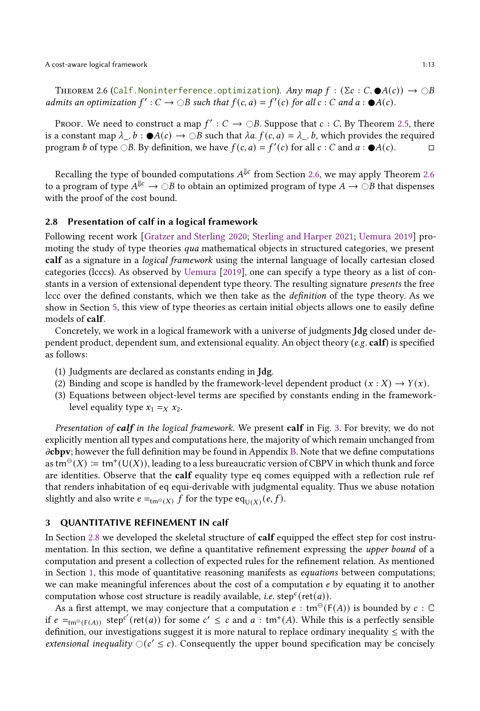THEOREM 2.6 (Calf.Noninterference.optimization). Any map  $f : (\Sigma c : C \cdot \mathbf{O}(c)) \to \bigcirc B$ admits an optimization  $f': C \to \bigcirc B$  such that  $f(c, a) = f'(c)$  for all  $c : C$  and  $a : \bigcirc A(c)$ .

Proof. We need to construct a map  $f': C \to \bigcirc B$ . Suppose that  $c: C$ . By Theorem [2.5,](#page-11-2) there is a constant map  $\lambda_{\perp}. b : \bigcirc A(c) \to \bigcirc B$  such that  $\lambda a. f(c, a) = \lambda_{\perp}. b$ , which provides the required program *b* of type  $\bigcirc B$ . By definition, we have  $f(c, a) = f'(c)$  for all  $c : C$  and  $a : \bigcirc A(c)$ .

Recalling the type of bounded computations  $A^{\Downarrow c}$  from Section [2.6,](#page-11-1) we may apply Theorem [2.6](#page-11-3) to a program of type  $A^{\Downarrow c}\to\bigcirc B$  to obtain an optimized program of type  $A\to\bigcirc B$  that dispenses with the proof of the cost bound.

#### <span id="page-12-1"></span>2.8 Presentation of calf in a logical framework

Following recent work [\[Gratzer and Sterling 2020](#page-26-18); [Sterling and Harper 2021](#page-28-0); [Uemura 2019\]](#page-28-8) promoting the study of type theories qua mathematical objects in structured categories, we present calf as a signature in a *logical framework* using the internal language of locally cartesian closed categories (lcccs). As observed by [Uemura](#page-28-8) [\[2019\]](#page-28-8), one can specify a type theory as a list of constants in a version of extensional dependent type theory. The resulting signature presents the free lccc over the defined constants, which we then take as the definition of the type theory. As we show in Section [5,](#page-20-0) this view of type theories as certain initial objects allows one to easily define models of calf.

Concretely, we work in a logical framework with a universe of judgments Jdg closed under dependent product, dependent sum, and extensional equality. An object theory (e.g. calf) is specified as follows:

- (1) Judgments are declared as constants ending in Jdg.
- (2) Binding and scope is handled by the framework-level dependent product  $(x : X) \rightarrow Y(x)$ .
- (3) Equations between object-level terms are specified by constants ending in the frameworklevel equality type  $x_1 =_X x_2$ .

Presentation of calf in the logical framework. We present calf in Fig. [3.](#page-13-0) For brevity, we do not explicitly mention all types and computations here, the majority of which remain unchanged from  $\partial$ cbpv; however the full definition may be found in Appendix [B.](#page-30-0) Note that we define computations as tm<sup>⊖</sup>(X) ≔ tm<sup>+</sup>(U(X)), leading to a less bureaucratic version of CBPV in which thunk and force are identities. Observe that the calf equality type eq comes equipped with a reflection rule ref that renders inhabitation of eq equi-derivable with judgmental equality. Thus we abuse notation slightly and also write  $e =_{\mathsf{tm}^{\Theta}(X)} \overline{f}$  for the type  $\mathsf{eq}_{\mathsf{U}(X)}(e, f)$ .

## <span id="page-12-0"></span>3 QUANTITATIVE REFINEMENT IN calf

In Section [2.8](#page-12-1) we developed the skeletal structure of **calf** equipped the effect step for cost instrumentation. In this section, we define a quantitative refinement expressing the upper bound of a computation and present a collection of expected rules for the refinement relation. As mentioned in Section [1,](#page-0-0) this mode of quantitative reasoning manifests as *equations* between computations; we can make meaningful inferences about the cost of a computation  $e$  by equating it to another computation whose cost structure is readily available, *i.e.* step<sup>c</sup>(ret(*a*)).

As a first attempt, we may conjecture that a computation  $e : \text{tm}^{\Theta}(F(A))$  is bounded by  $c : \mathbb{C}$ if  $e =_{tm^{\ominus}(F(A))}$  step<sup>c'</sup> (ret(*a*)) for some  $c' \leq c$  and  $a : tm^+(A)$ . While this is a perfectly sensible definition, our investigations suggest it is more natural to replace ordinary inequality ≤ with the extensional inequality  $O(c' \le c)$ . Consequently the upper bound specification may be concisely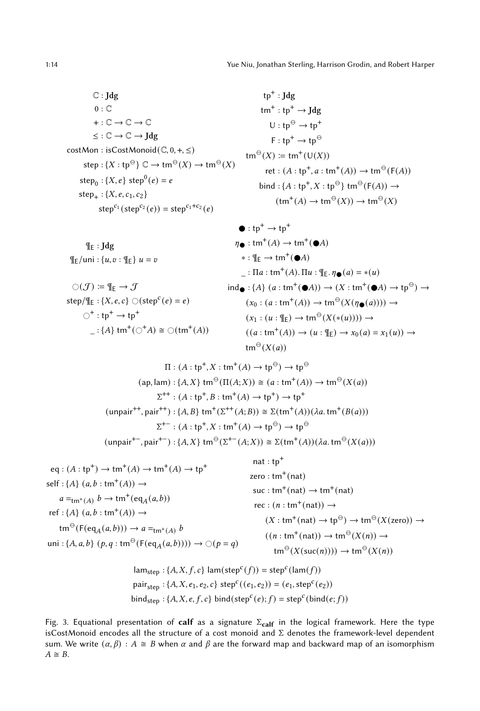<span id="page-13-0"></span> $\mathbb{C}$ : Jdg  $0: \mathbb{C}$  $+:\mathbb{C}\to\mathbb{C}\to\mathbb{C}$  $\leq : \mathbb{C} \to \mathbb{C} \to \text{Jdg}$  $costMon : isCostMonoid(\mathbb{C}, 0, +, \leq)$  $\mathsf{step} : \{X : \mathsf{tp}^\ominus\} \mathbb{C} \to \mathsf{tm}^\ominus(X) \to \mathsf{tm}^\ominus(X)$  $\text{step}_0 : \{X, e\} \text{ step}^0(e) = e$  $step_{+}$ : {*X*, *e*, *c*<sub>1</sub>, *c*<sub>2</sub>}  $step^{c_1}(step^{c_2}(e)) = step^{c_1+c_2}(e)$ 

 $\P$ <sub>E</sub> : Jdg  $\P_{E}/$ uni : { $u, v$  :  $\P_{E}$ }  $u = v$ 

$$
\bigcirc(\mathcal{J}) := \mathbb{I}_{E} \to \mathcal{J}
$$
  
step/ $\mathbb{I}_{E} : \{X, e, c\} \bigcirc (\text{step}^{c}(e) = e)$   

$$
\bigcirc^{+} : \text{tp}^{+} \to \text{tp}^{+}
$$
  

$$
- : \{A\} \text{tm}^{+}(\bigcirc^{+} A) \cong \bigcirc(\text{tm}^{+}(A))
$$

$$
tp^{+} : Jdg
$$
  
\n
$$
tm^{+} : tp^{+} \rightarrow Jdg
$$
  
\n
$$
U : tp^{\ominus} \rightarrow tp^{+}
$$
  
\n
$$
F : tp^{+} \rightarrow tp^{\ominus}
$$
  
\n
$$
tm^{\ominus}(X) := tm^{+}(U(X))
$$
  
\n
$$
ret : (A : tp^{+}, a : tm^{+}(A)) \rightarrow tm^{\ominus}(F(A)) \rightarrow
$$
  
\n
$$
bind : \{A : tp^{+}, X : tp^{\ominus}\} \tm^{\ominus}(F(A)) \rightarrow
$$
  
\n
$$
(tm^{+}(A) \rightarrow tm^{\ominus}(X)) \rightarrow tm^{\ominus}(X)
$$

$$
\begin{aligned}\n\bullet: \operatorname{tp}^+ \to \operatorname{tp}^+ \\
\eta \bullet: \operatorname{tm}^+(A) \to \operatorname{tm}^+(\bullet A) \\
&\quad * : \P_E \to \operatorname{tm}^+(\bullet A) \\
&\quad : \Pi a: \operatorname{tm}^+(A). \Pi u: \P_E. \eta \bullet (a) = *(u) \\
\operatorname{ind} \bullet: \{A\} \ (a: \operatorname{tm}^+(\bullet A)) \to (X: \operatorname{tm}^+(\bullet A) \to \operatorname{tp}^{\ominus}) \to \\
(x_0: (a: \operatorname{tm}^+(A)) \to \operatorname{tm}^{\ominus}(X(\eta \bullet (a)))) \to \\
(x_1: (u: \P_E) \to \operatorname{tm}^{\ominus}(X(*(u)))) \to \\
((a: \operatorname{tm}^+(A)) \to (u: \P_E) \to x_0(a) = x_1(u)) \to \\
\operatorname{tm}^{\ominus}(X(a))\n\end{aligned}
$$

$$
\Pi : (A : \text{tp}^+, X : \text{tm}^+(A) \to \text{tp}^{\ominus}) \to \text{tp}^{\ominus}
$$
  
\n
$$
(\text{ap}, \text{lam}) : \{A, X\} \text{tm}^{\ominus}(\Pi(A;X)) \cong (a : \text{tm}^+(A)) \to \text{tm}^{\ominus}(X(a))
$$
  
\n
$$
\Sigma^{++} : (A : \text{tp}^+, B : \text{tm}^+(A) \to \text{tp}^+) \to \text{tp}^+
$$
  
\n
$$
(\text{unpair}^{++}, \text{pair}^{++}) : \{A, B\} \text{tm}^+( \Sigma^{++}(A;B)) \cong \Sigma(\text{tm}^+(A))( \lambda a, \text{tm}^+(B(a)))
$$
  
\n
$$
\Sigma^{+-} : (A : \text{tp}^+, X : \text{tm}^+(A) \to \text{tp}^{\ominus}) \to \text{tp}^{\ominus}
$$
  
\n
$$
(\text{unpair}^{+-}, \text{pair}^{+-}) : \{A, X\} \text{tm}^{\ominus}(\Sigma^{+-}(A;X)) \cong \Sigma(\text{tm}^+(A)) (\lambda a, \text{tm}^{\ominus}(X(a)))
$$

eq: 
$$
(A : tp^{+}) \rightarrow tm^{+}(A) \rightarrow tm^{+}(A) \rightarrow tp^{+}
$$
  
\nself:  $\{A\}$   $(a, b : tm^{+}(A)) \rightarrow$   
\n $a =_{tm^{+}(A)} b \rightarrow tm^{+}(eq_{A}(a, b))$   
\nref:  $\{A\}$   $(a, b : tm^{+}(A)) \rightarrow$   
\n $tm^{\Theta}(F(eq_{A}(a, b))) \rightarrow a =_{tm^{+}(A)} b$   
\n $cm^{\Theta}(F(eq_{A}(a, b))) \rightarrow a =_{tm^{+}(A)} b$   
\n $(x : tm^{+}(nat) \rightarrow tp^{\Theta}) \rightarrow tm^{\Theta}(X(zero)) \rightarrow$   
\n $(m : tm^{+}(nat)) \rightarrow tm^{\Theta}(X(n)) \rightarrow$   
\n $tm^{\Theta}(X(suc(n)))) \rightarrow cm^{\Theta}(X(n))$ 

$$
\text{lam}_{step}: \{A, X, f, c\} \text{ lam}(\text{step}^c(f)) = \text{step}^c(\text{lam}(f))
$$
\n
$$
\text{pair}_{step}: \{A, X, e_1, e_2, c\} \text{ step}^c((e_1, e_2)) = (e_1, \text{step}^c(e_2))
$$
\n
$$
\text{bind}_{step}: \{A, X, e, f, c\} \text{ bind}(\text{step}^c(e); f) = \text{step}^c(\text{bind}(e; f))
$$

Fig. 3. Equational presentation of calf as a signature  $\Sigma_{\text{calf}}$  in the logical framework. Here the type isCostMonoid encodes all the structure of a cost monoid and Σ denotes the framework-level dependent sum. We write  $(\alpha, \beta) : A \cong B$  when  $\alpha$  and  $\beta$  are the forward map and backward map of an isomorphism  $A \cong B$ .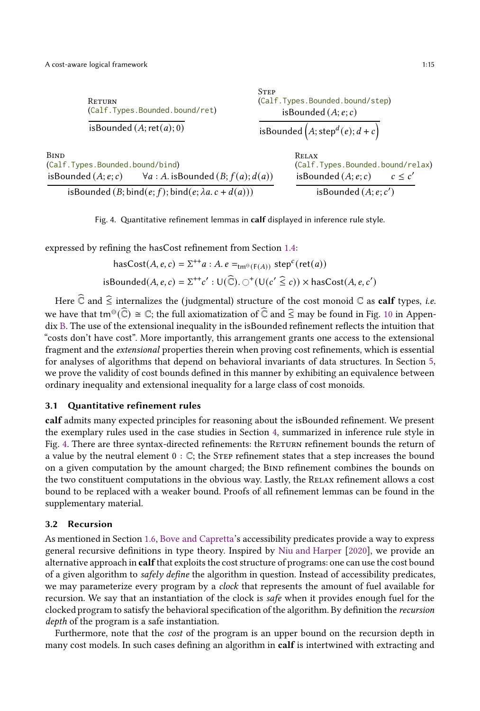<span id="page-14-0"></span>

| RETURN                                                                 | (Calf.Types.Bounded.bound/ret) |                                          | (Calf.Types.Bounded.bound/step)<br>isBounded $(A; e; c)$ |        |  |
|------------------------------------------------------------------------|--------------------------------|------------------------------------------|----------------------------------------------------------|--------|--|
| isBounded $(A;ret(a); 0)$                                              |                                | isBounded $(A; \text{step}^d(e); d + c)$ |                                                          |        |  |
| <b>BIND</b><br>(Calf.Types.Bounded.bound/bind)                         |                                |                                          | RELAX<br>(Calf.Types.Bounded.bound/relax)                |        |  |
| $\forall a : A$ . isBounded $(B; f(a); d(a))$<br>isBounded $(A; e; c)$ |                                |                                          | isBounded $(A; e; c)$                                    | c < c' |  |
| isBounded (B; bind(e; f); bind(e; $\lambda a$ . c + d(a)))             |                                |                                          | isBounded $(A; e; c')$                                   |        |  |

**STEP** 

Fig. 4. Quantitative refinement lemmas in calf displayed in inference rule style.

expressed by refining the hasCost refinement from Section [1.4:](#page-3-0)

hasCost(A, e, c) = 
$$
\Sigma^{++}a : A \cdot e =_{\text{tm}^{\ominus}(\text{F}(A))} \text{step}^c(\text{ret}(a))
$$
  
isBounded(A, e, c) =  $\Sigma^{++}c' : U(\widehat{\mathbb{C}}). \bigcirc^{+}(U(c' \widehat{\le} c)) \times \text{hasCost}(A, e, c')$ 

Here  $\widehat{\mathbb{C}}$  and  $\widehat{\le}$  internalizes the (judgmental) structure of the cost monoid  $\mathbb{C}$  as **calf** types, i.e. we have that  $\text{tm}^{\Theta}(\widehat{\mathbb{C}}) \cong \mathbb{C}$ ; the full axiomatization of  $\widehat{\mathbb{C}}$  and  $\widehat{\le}$  may be found in Fig. [10](#page-31-0) in Appendix [B.](#page-30-0) The use of the extensional inequality in the isBounded refinement reflects the intuition that "costs don't have cost". More importantly, this arrangement grants one access to the extensional fragment and the extensional properties therein when proving cost refinements, which is essential for analyses of algorithms that depend on behavioral invariants of data structures. In Section [5,](#page-20-0) we prove the validity of cost bounds defined in this manner by exhibiting an equivalence between ordinary inequality and extensional inequality for a large class of cost monoids.

## 3.1 Quantitative refinement rules

calf admits many expected principles for reasoning about the isBounded refinement. We present the exemplary rules used in the case studies in Section [4,](#page-15-0) summarized in inference rule style in Fig. [4.](#page-14-0) There are three syntax-directed refinements: the RETURN refinement bounds the return of a value by the neutral element  $0 : \mathbb{C}$ ; the STEP refinement states that a step increases the bound on a given computation by the amount charged; the BIND refinement combines the bounds on the two constituent computations in the obvious way. Lastly, the Relax refinement allows a cost bound to be replaced with a weaker bound. Proofs of all refinement lemmas can be found in the supplementary material.

## <span id="page-14-1"></span>3.2 Recursion

As mentioned in Section [1.6,](#page-4-1) [Bove and Capretta](#page-25-5)'s accessibility predicates provide a way to express general recursive definitions in type theory. Inspired by [Niu and Harper](#page-27-4) [\[2020\]](#page-27-4), we provide an alternative approach in calf that exploits the cost structure of programs: one can use the cost bound of a given algorithm to safely define the algorithm in question. Instead of accessibility predicates, we may parameterize every program by a clock that represents the amount of fuel available for recursion. We say that an instantiation of the clock is safe when it provides enough fuel for the clocked program to satisfy the behavioral specification of the algorithm. By definition the recursion depth of the program is a safe instantiation.

Furthermore, note that the cost of the program is an upper bound on the recursion depth in many cost models. In such cases defining an algorithm in calf is intertwined with extracting and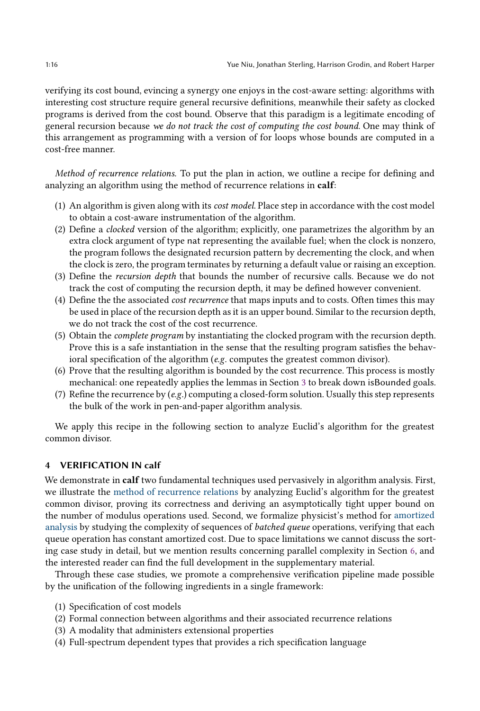verifying its cost bound, evincing a synergy one enjoys in the cost-aware setting: algorithms with interesting cost structure require general recursive definitions, meanwhile their safety as clocked programs is derived from the cost bound. Observe that this paradigm is a legitimate encoding of general recursion because we do not track the cost of computing the cost bound. One may think of this arrangement as programming with a version of for loops whose bounds are computed in a cost-free manner.

Method of recurrence relations. To put the plan in action, we outline a recipe for defining and analyzing an algorithm using the method of recurrence relations in calf:

- (1) An algorithm is given along with its cost model. Place step in accordance with the cost model to obtain a cost-aware instrumentation of the algorithm.
- (2) Define a clocked version of the algorithm; explicitly, one parametrizes the algorithm by an extra clock argument of type nat representing the available fuel; when the clock is nonzero, the program follows the designated recursion pattern by decrementing the clock, and when the clock is zero, the program terminates by returning a default value or raising an exception.
- (3) Define the recursion depth that bounds the number of recursive calls. Because we do not track the cost of computing the recursion depth, it may be defined however convenient.
- (4) Define the the associated cost recurrence that maps inputs and to costs. Often times this may be used in place of the recursion depth as it is an upper bound. Similar to the recursion depth, we do not track the cost of the cost recurrence.
- (5) Obtain the complete program by instantiating the clocked program with the recursion depth. Prove this is a safe instantiation in the sense that the resulting program satisfies the behavioral specification of the algorithm (e.g. computes the greatest common divisor).
- (6) Prove that the resulting algorithm is bounded by the cost recurrence. This process is mostly mechanical: one repeatedly applies the lemmas in Section [3](#page-12-0) to break down isBounded goals.
- (7) Refine the recurrence by  $(e.g.)$  computing a closed-form solution. Usually this step represents the bulk of the work in pen-and-paper algorithm analysis.

We apply this recipe in the following section to analyze Euclid's algorithm for the greatest common divisor.

#### <span id="page-15-0"></span>4 VERIFICATION IN calf

We demonstrate in calf two fundamental techniques used pervasively in algorithm analysis. First, we illustrate the method of recurrence relations by analyzing Euclid's algorithm for the greatest common divisor, proving its correctness and deriving an asymptotically tight upper bound on the number of modulus operations used. Second, we formalize physicist's method for amortized analysis by studying the complexity of sequences of batched queue operations, verifying that each queue operation has constant amortized cost. Due to space limitations we cannot discuss the sorting case study in detail, but we mention results concerning parallel complexity in Section [6,](#page-23-0) and the interested reader can find the full development in the supplementary material.

Through these case studies, we promote a comprehensive verification pipeline made possible by the unification of the following ingredients in a single framework:

- (1) Specification of cost models
- (2) Formal connection between algorithms and their associated recurrence relations
- (3) A modality that administers extensional properties
- (4) Full-spectrum dependent types that provides a rich specification language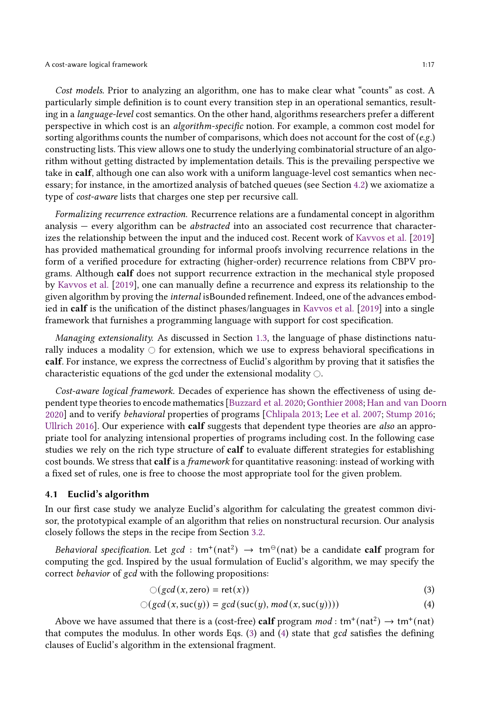Cost models. Prior to analyzing an algorithm, one has to make clear what "counts" as cost. A particularly simple definition is to count every transition step in an operational semantics, resulting in a language-level cost semantics. On the other hand, algorithms researchers prefer a different perspective in which cost is an algorithm-specific notion. For example, a common cost model for sorting algorithms counts the number of comparisons, which does not account for the cost of  $(e.g.)$ constructing lists. This view allows one to study the underlying combinatorial structure of an algorithm without getting distracted by implementation details. This is the prevailing perspective we take in calf, although one can also work with a uniform language-level cost semantics when necessary; for instance, in the amortized analysis of batched queues (see Section [4.2\)](#page-18-0) we axiomatize a type of cost-aware lists that charges one step per recursive call.

Formalizing recurrence extraction. Recurrence relations are a fundamental concept in algorithm analysis – every algorithm can be *abstracted* into an associated cost recurrence that characterizes the relationship between the input and the induced cost. Recent work of [Kavvos et al.](#page-27-1) [\[2019\]](#page-27-1) has provided mathematical grounding for informal proofs involving recurrence relations in the form of a verified procedure for extracting (higher-order) recurrence relations from CBPV programs. Although calf does not support recurrence extraction in the mechanical style proposed by [Kavvos et al.](#page-27-1) [\[2019](#page-27-1)], one can manually define a recurrence and express its relationship to the given algorithm by proving the internal isBounded refinement. Indeed, one of the advances embodied in calf is the unification of the distinct phases/languages in [Kavvos et al.](#page-27-1) [\[2019\]](#page-27-1) into a single framework that furnishes a programming language with support for cost specification.

Managing extensionality. As discussed in Section [1.3,](#page-2-0) the language of phase distinctions naturally induces a modality  $\circ$  for extension, which we use to express behavioral specifications in calf. For instance, we express the correctness of Euclid's algorithm by proving that it satisfies the characteristic equations of the gcd under the extensional modality  $\bigcirc$ .

Cost-aware logical framework. Decades of experience has shown the effectiveness of using dependent type theories to encode mathematics [\[Buzzard et al. 2020;](#page-25-9) [Gonthier 2008;](#page-26-19) [Han and van Doorn](#page-26-20) [2020\]](#page-26-20) and to verify behavioral properties of programs [\[Chlipala 2013](#page-26-21); [Lee et al. 2007;](#page-27-19) [Stump 2016;](#page-28-9) [Ullrich 2016](#page-28-10)]. Our experience with **calf** suggests that dependent type theories are *also* an appropriate tool for analyzing intensional properties of programs including cost. In the following case studies we rely on the rich type structure of **calf** to evaluate different strategies for establishing cost bounds. We stress that calf is a *framework* for quantitative reasoning: instead of working with a fixed set of rules, one is free to choose the most appropriate tool for the given problem.

#### <span id="page-16-2"></span>4.1 Euclid's algorithm

In our first case study we analyze Euclid's algorithm for calculating the greatest common divisor, the prototypical example of an algorithm that relies on nonstructural recursion. Our analysis closely follows the steps in the recipe from Section [3.2.](#page-14-1)

Behavioral specification. Let gcd :  $tm^+(nat^2) \rightarrow tm^{\ominus}(nat)$  be a candidate calf program for computing the gcd. Inspired by the usual formulation of Euclid's algorithm, we may specify the correct behavior of gcd with the following propositions:

<span id="page-16-1"></span><span id="page-16-0"></span>
$$
\bigcirc (gcd(x, zero) = ret(x))
$$
\n(3)

$$
\bigcirc (gcd(x, succ(y)) = gcd(suc(y), mod(x, succ(y)))) \tag{4}
$$

Above we have assumed that there is a (cost-free) calf program  $mod:$  tm<sup>+</sup>(nat<sup>2</sup>)  $\rightarrow$  tm<sup>+</sup>(nat) that computes the modulus. In other words Eqs. [\(3\)](#page-16-0) and [\(4\)](#page-16-1) state that gcd satisfies the defining clauses of Euclid's algorithm in the extensional fragment.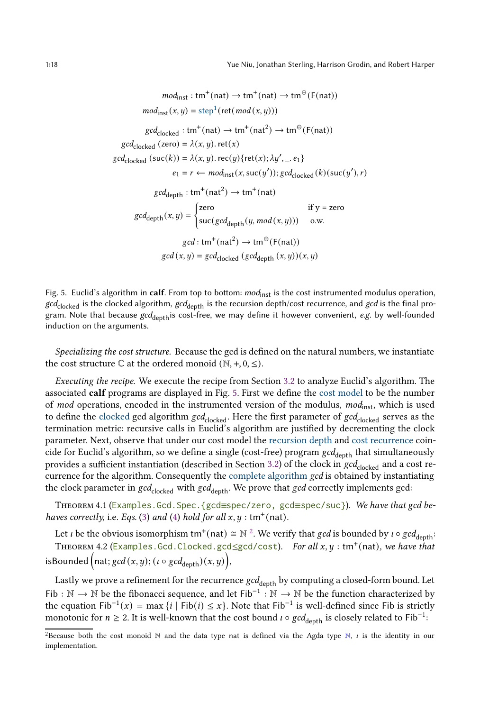<span id="page-17-0"></span>1:18 Yue Niu, Jonathan Sterling, Harrison Grodin, and Robert Harper

 $\textit{mod}_{\text{inst}}: \text{tm}^+(\text{nat}) \to \text{tm}^+(\text{nat}) \to \text{tm}^{\ominus}(\text{F}(\text{nat}))$  $mod_{inst}(x, y) = step^1(ret(mod(x, y)))$  $\text{gcd}_{\text{clocked}}: \text{tm}^+(\text{nat}) \to \text{tm}^+(\text{nat}^2) \to \text{tm}^{\Theta}(\text{F}(\text{nat}))$  $gcd_{closed}$  (zero) =  $\lambda(x, y)$ . ret(x)  $gcd_{clocked} (suc(k)) = \lambda(x, y)$ .  $rec(y) {ret(x); \lambda y', \ldots e_1}$  $e_1 = r \leftarrow \text{mod}_{\text{inst}}(x, \text{succ}(y')); \text{gcd}_{\text{clocked}}(k)(\text{succ}(y'), r)$  $\mathrm{gcd}_{\mathrm{depth}}: \mathrm{tm}^+(\mathrm{nat}^2)\to \mathrm{tm}^+(\mathrm{nat})$  $gcd_{depth}(x, y) =$ ( zero if y = zero  $\mathsf{suc}(\mathit{gcd}_{\mathsf{depth}}(y, \mathit{mod}(x, y))) \quad \text{o.w.}$  $\text{gcd}: \text{tm}^+(\text{nat}^2) \to \text{tm}^{\ominus}(\text{F}(\text{nat}))$  $gcd(x, y) = gcd_{closed} (gcd_{depth}(x, y))(x, y)$ 

Fig. 5. Euclid's algorithm in calf. From top to bottom: mod<sub>inst</sub> is the cost instrumented modulus operation,  $gcd_{clocked}$  is the clocked algorithm,  $gcd_{depth}$  is the recursion depth/cost recurrence, and gcd is the final program. Note that because  $gcd_{\text{depth}}$  is cost-free, we may define it however convenient, e.g. by well-founded induction on the arguments.

Specializing the cost structure. Because the gcd is defined on the natural numbers, we instantiate the cost structure  $\mathbb C$  at the ordered monoid  $(\mathbb N, +, 0, \leq)$ .

Executing the recipe. We execute the recipe from Section [3.2](#page-14-1) to analyze Euclid's algorithm. The associated calf programs are displayed in Fig. [5.](#page-17-0) First we define the cost model to be the number of mod operations, encoded in the instrumented version of the modulus,  $mod_{inst}$ , which is used to define the clocked gcd algorithm  $gcd_{clocked}$ . Here the first parameter of  $gcd_{clocked}$  serves as the termination metric: recursive calls in Euclid's algorithm are justified by decrementing the clock parameter. Next, observe that under our cost model the recursion depth and cost recurrence coincide for Euclid's algorithm, so we define a single (cost-free) program  $gcd_{depth}$  that simultaneously provides a sufficient instantiation (described in Section [3.2\)](#page-14-1) of the clock in  $gcd_{clocked}$  and a cost recurrence for the algorithm. Consequently the complete algorithm gcd is obtained by instantiating the clock parameter in  $gcd_{clocked}$  with  $gcd_{depth}$ . We prove that  $gcd$  correctly implements gcd:

THEOREM 4.1 (Examples. Gcd. Spec. {gcd=spec/zero, gcd=spec/suc}). We have that gcd be-haves correctly, i.e. Eqs. [\(3\)](#page-16-0) and [\(4\)](#page-16-1) hold for all  $x, y : \text{tm}^+(\text{nat})$ .

Let *i* be the obvious isomorphism tm<sup>+</sup>(nat)  $\cong$   $\mathbb{N}^2$  $\mathbb{N}^2$ . We verify that *gcd* is bounded by *i*  $\circ$  *gcd*<sub>depth</sub>: THEOREM 4.2 (Examples.Gcd.Clocked.gcd≤gcd/cost). For all  $x,y:$  tm<sup>+</sup>(nat), we have that isBounded  $\Big(\textsf{nat}; \textsf{gcd}\,(x,y);$   $(\iota \circ \textsf{gcd}_{\textsf{depth}})(x,y)\Big),$ 

Lastly we prove a refinement for the recurrence  $\gcd_{\mathrm{depth}}$  by computing a closed-form bound. Let Fib :  $\mathbb{N} \to \mathbb{N}$  be the fibonacci sequence, and let Fib<sup>-1</sup> :  $\mathbb{N} \to \mathbb{N}$  be the function characterized by the equation  $\text{Fib}^{-1}(x) = \max\{i \mid \text{Fib}(i) \leq x\}$ . Note that  $\text{Fib}^{-1}$  is well-defined since  $\text{Fib}$  is strictly monotonic for  $n \geq 2$ . It is well-known that the cost bound  $\iota \circ \gcd_{\mathrm{depth}}$  is closely related to Fib $^{-1}$ :

<span id="page-17-1"></span><sup>&</sup>lt;sup>2</sup>Because both the cost monoid N and the data type nat is defined via the Agda type N,  $\iota$  is the identity in our implementation.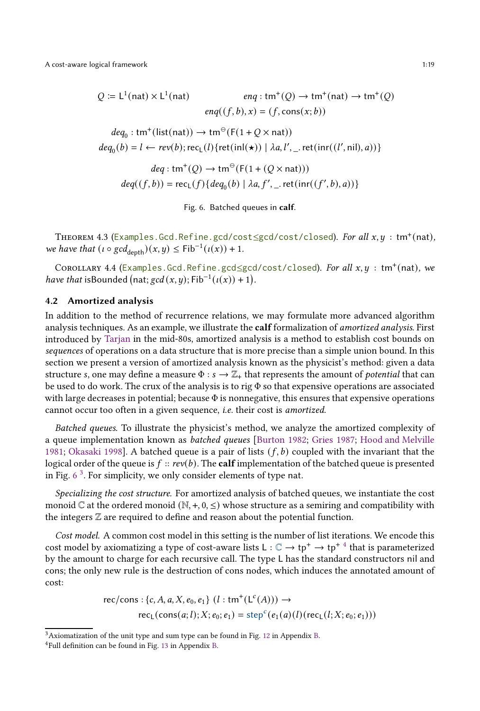<span id="page-18-1"></span>A cost-aware logical framework 1:19

$$
Q := L^{1}(\text{nat}) \times L^{1}(\text{nat}) \qquad \text{eng}: \text{tm}^{+}(Q) \to \text{tm}^{+}(\text{nat}) \to \text{tm}^{+}(Q)
$$
\n
$$
\text{eng}((f, b), x) = (f, \text{cons}(x; b))
$$
\n
$$
\text{deg}_{0}: \text{tm}^{+}(\text{list}(\text{nat})) \to \text{tm}^{\ominus}(\text{F}(1 + Q \times \text{nat}))
$$
\n
$$
\text{deg}_{0}(b) = l \leftarrow \text{rev}(b); \text{rec}_{L}(l) \{ \text{ret}(\text{inl}(\star)) \mid \lambda a, l', \text{ret}(\text{inr}((l', \text{nil}), a)) \}
$$
\n
$$
\text{deg}: \text{tm}^{+}(Q) \to \text{tm}^{\ominus}(\text{F}(1 + (Q \times \text{nat})))
$$
\n
$$
\text{deg}((f, b)) = \text{rec}_{L}(f) \{ \text{deg}_{0}(b) \mid \lambda a, f', \text{ret}(\text{inr}((f', b), a)) \}
$$

Fig. 6. Batched queues in calf.

THEOREM 4.3 (Examples.Gcd.Refine.gcd/cost≤gcd/cost/closed). For all  $x,y$  :  $\text{tm}^+(\text{nat})$ , we have that  $(\iota \circ \gcd_{\text{depth}})(x, y) \leq \text{Fib}^{-1}(\iota(x)) + 1$ .

COROLLARY 4.4 (Examples.Gcd.Refine.gcd≤gcd/cost/closed). For all  $x, y$  : tm<sup>+</sup>(nat), we have that isBounded (nat;  $gcd(x, y)$ ; Fib<sup>-1</sup>( $\iota(x)$ ) + 1).

## <span id="page-18-0"></span>4.2 Amortized analysis

In addition to the method of recurrence relations, we may formulate more advanced algorithm analysis techniques. As an example, we illustrate the calf formalization of amortized analysis. First introduced by [Tarjan](#page-28-4) in the mid-80s, amortized analysis is a method to establish cost bounds on sequences of operations on a data structure that is more precise than a simple union bound. In this section we present a version of amortized analysis known as the physicist's method: given a data structure s, one may define a measure  $\Phi : s \to \mathbb{Z}_+$  that represents the amount of *potential* that can be used to do work. The crux of the analysis is to rig  $\Phi$  so that expensive operations are associated with large decreases in potential; because  $\Phi$  is nonnegative, this ensures that expensive operations cannot occur too often in a given sequence, i.e. their cost is amortized.

Batched queues. To illustrate the physicist's method, we analyze the amortized complexity of a queue implementation known as batched queues [\[Burton 1982;](#page-25-10) [Gries 1987;](#page-26-22) [Hood and Melville](#page-27-20) [1981](#page-27-20); [Okasaki 1998\]](#page-27-21). A batched queue is a pair of lists  $(f, b)$  coupled with the invariant that the logical order of the queue is  $f :: rev(b)$ . The **calf** implementation of the batched queue is presented in Fig.  $6<sup>3</sup>$  $6<sup>3</sup>$  $6<sup>3</sup>$  $6<sup>3</sup>$ . For simplicity, we only consider elements of type nat.

Specializing the cost structure. For amortized analysis of batched queues, we instantiate the cost monoid  $\mathbb C$  at the ordered monoid  $(\mathbb N, +, 0, \leq)$  whose structure as a semiring and compatibility with the integers  $\mathbb Z$  are required to define and reason about the potential function.

Cost model. A common cost model in this setting is the number of list iterations. We encode this cost model by axiomatizing a type of cost-aware lists  $L:\mathbb{C}\to \text{tp}^+\to \text{tp}^{+\,4}$  $L:\mathbb{C}\to \text{tp}^+\to \text{tp}^{+\,4}$  $L:\mathbb{C}\to \text{tp}^+\to \text{tp}^{+\,4}$  that is parameterized by the amount to charge for each recursive call. The type L has the standard constructors nil and cons; the only new rule is the destruction of cons nodes, which induces the annotated amount of cost:

rec/cons: {*c*, *A*, *a*, *X*, *e*<sub>0</sub>, *e*<sub>1</sub>} (*l* : tm<sup>+</sup>(
$$
L^{c}(A)
$$
))  $\rightarrow$   
rec<sub>L</sub>(cons(*a*, *l*); *X*; *e*<sub>0</sub>; *e*<sub>1</sub>) = step<sup>c</sup>(*e*<sub>1</sub>(*a*)(*l*)(rec<sub>L</sub>(*l*; *X*; *e*<sub>0</sub>; *e*<sub>1</sub>)))

<sup>3</sup>Axiomatization of the unit type and sum type can be found in Fig. [12](#page-33-0) in Appendix [B.](#page-30-0)

<span id="page-18-3"></span><span id="page-18-2"></span><sup>4</sup>Full definition can be found in Fig. [13](#page-34-0) in Appendix [B.](#page-30-0)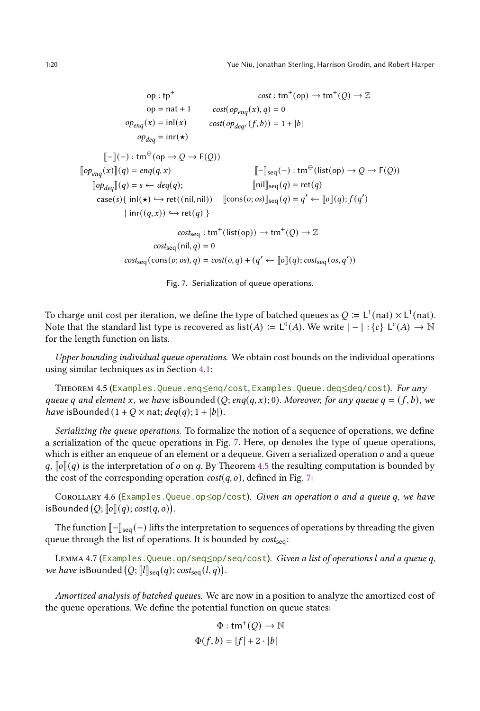<span id="page-19-0"></span>
$$
\text{op}: \text{tp}^+ \qquad \text{cost}: \text{tm}^+(\text{op}) \to \text{tm}^+(\text{Q}) \to \mathbb{Z}
$$
\n
$$
\text{op} = \text{nat} + 1 \qquad \text{cost}(op_{\text{eng}}(x), q) = 0
$$
\n
$$
op_{\text{eng}}(x) = \text{inl}(x) \qquad \text{cost}(op_{\text{deg}^+}(f, b)) = 1 + |b|
$$
\n
$$
op_{\text{deg}^+} = \text{inr}(\star)
$$
\n
$$
[\![-\!](-) : \text{tm}^{\ominus}(\text{op} \to \text{Q} \to \text{F}(\text{Q}))
$$
\n
$$
[\![op_{\text{eng}}(x)]](q) = \text{eng}(q, x) \qquad [\![-\!]_{\text{seq}}(-) : \text{tm}^{\ominus}(\text{list}(\text{op}) \to \text{Q} \to \text{F}(\text{Q}))
$$
\n
$$
[\![op_{\text{deg}^+}](q) = s \leftarrow \text{deg}(q); \qquad [\![\text{nil}]_{\text{seq}}(q) = \text{ret}(q)
$$
\n
$$
\text{case}(s) \{ \text{ inl}(\star) \hookrightarrow \text{ret}(\text{(nil}, \text{nil})) \quad [\text{cons}(o; os)]_{\text{seq}}(q) = q' \leftarrow [\![o]\!](q); f(q')
$$
\n
$$
|\text{ inr}((q, x)) \hookrightarrow \text{ret}(q) \}
$$
\n
$$
\text{cost}_{\text{seq}} : \text{tm}^+(\text{list}(\text{op})) \to \text{tm}^+(\text{Q}) \to \mathbb{Z}
$$
\n
$$
\text{cost}_{\text{seq}}(\text{nil}, q) = 0
$$
\n
$$
\text{cost}_{\text{seq}}(\text{cons}(o; os), q) = \text{cost}(o, q) + (q' \leftarrow [\![o]\!](q); \text{cost}_{\text{seq}}(os, q'))
$$

Fig. 7. Serialization of queue operations.

To charge unit cost per iteration, we define the type of batched queues as  $Q \coloneqq L^1(\text{nat}) \times L^1(\text{nat})$ . Note that the standard list type is recovered as  $list(A) := L^0(A)$ . We write  $|-| : \{c\} L^c(A) \rightarrow \mathbb{N}$ for the length function on lists.

<span id="page-19-1"></span>Upper bounding individual queue operations. We obtain cost bounds on the individual operations using similar techniques as in Section [4.1:](#page-16-2)

THEOREM 4.5 (Examples.Queue.enq≤enq/cost, Examples.Queue.deq≤deq/cost). For any queue q and element x, we have isBounded (O; eng(q, x); 0). Moreover, for any queue  $q = (f, b)$ , we have isBounded  $(1 + Q \times nat; deg(q); 1 + |b|)$ .

Serializing the queue operations. To formalize the notion of a sequence of operations, we define a serialization of the queue operations in Fig. [7.](#page-19-0) Here, op denotes the type of queue operations, which is either an enqueue of an element or a dequeue. Given a serialized operation  $o$  and a queue  $q, \lceil \theta \rceil (q)$  is the interpretation of  $o$  on  $q$ . By Theorem [4.5](#page-19-1) the resulting computation is bounded by the cost of the corresponding operation  $cost(q, o)$ , defined in Fig. [7:](#page-19-0)

COROLLARY 4.6 (Examples. Queue.op 
subseteq and a queue of  $\alpha$  and a queue q, we have isBounded  $(Q; [\![ o]\!](q); cost(q, o)).$ 

<span id="page-19-2"></span>The function  $\llbracket - \rrbracket_{\text{seq}}(-)$  lifts the interpretation to sequences of operations by threading the given queue through the list of operations. It is bounded by  $cost_{seq}$ :

LEMMA 4.7 (Examples.Queue.op/seq≤op/seq/cost). Given a list of operations l and a queue q, we have isBounded  $(Q;[[l]]_{seq}(q); cost_{seq}(l,q)).$ 

Amortized analysis of batched queues. We are now in a position to analyze the amortized cost of the queue operations. We define the potential function on queue states:

$$
\Phi : \text{tm}^+(\mathcal{Q}) \to \mathbb{N}
$$

$$
\Phi(f, b) = |f| + 2 \cdot |b|
$$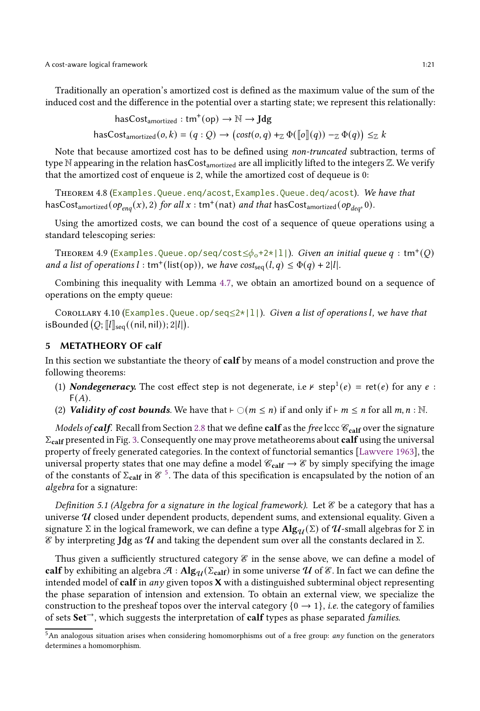A cost-aware logical framework 1:21

Traditionally an operation's amortized cost is defined as the maximum value of the sum of the induced cost and the difference in the potential over a starting state; we represent this relationally:

has $Cost_{amortized}: \text{tm}^+(\text{op}) \to \mathbb{N} \to \text{Jdg}$ 

 $\text{hasCost}_{\text{amortized}}(o, k) = (q : Q) \rightarrow (\text{cost}(o, q) +_{\mathbb{Z}} \Phi([\![o]\!](q)) -_{\mathbb{Z}} \Phi(q)) \leq_{\mathbb{Z}} k$ 

Note that because amortized cost has to be defined using non-truncated subtraction, terms of type N appearing in the relation hasCost<sub>amortized</sub> are all implicitly lifted to the integers Z. We verify that the amortized cost of enqueue is 2, while the amortized cost of dequeue is 0:

THEOREM 4.8 (Examples. Queue.enq/acost, Examples. Queue.deq/acost). We have that has $\textsf{Cost}_{\textsf{amortized}}(op_{\textit{enq}}(x),2)$  for all  $x:\textsf{tm}^+(\textsf{nat})$  and that  $\textsf{hasCost}_{\textsf{amortized}}(op_{\textit{deq}},0)$ .

Using the amortized costs, we can bound the cost of a sequence of queue operations using a standard telescoping series:

THEOREM 4.9 (Examples.Queue.op/seq/cost $\leq \!\!\phi_{\mathrm{o}}$ +2\*|1|). *Given an initial queue*  $q$  : tm $^+(\overline{Q})$ and a list of operations  $l : \text{tm}^+(\text{list(op)}),$  we have  $\text{cost}_{\text{seq}}(l, q) \leq \Phi(q) + 2|l|.$ 

Combining this inequality with Lemma [4.7,](#page-19-2) we obtain an amortized bound on a sequence of operations on the empty queue:

COROLLARY 4.10 (Examples. Queue.op/seq $\leq$ 2\*|1|). Given a list of operations l, we have that isBounded  $(Q;[[l]]_{\text{seq}}((\text{nil}, \text{nil})); 2|l|).$ 

## <span id="page-20-0"></span>5 METATHEORY OF calf

In this section we substantiate the theory of calf by means of a model construction and prove the following theorems:

- (1) **Nondegeneracy.** The cost effect step is not degenerate, i.e  $\kappa$  step<sup>1</sup>(e) = ret(e) for any e :  $F(A)$ .
- (2) Validity of cost bounds. We have that  $\vdash \bigcirc(m \leq n)$  if and only if  $\vdash m \leq n$  for all  $m, n : \mathbb{N}$ .

Models of calf. Recall from Section [2.8](#page-12-1) that we define calf as the free lccc  $\mathscr{C}_{\text{cal}}$  over the signature  $\Sigma_{\text{calf}}$  presented in Fig. [3.](#page-13-0) Consequently one may prove metatheorems about calf using the universal property of freely generated categories. In the context of functorial semantics [\[Lawvere 1963\]](#page-27-22), the universal property states that one may define a model  $\mathcal{C}_{\text{calf}} \to \mathcal{E}$  by simply specifying the image of the constants of  $\Sigma_{\text{calf}}$  in  $\mathcal{C}^{-5}$  $\mathcal{C}^{-5}$  $\mathcal{C}^{-5}$ . The data of this specification is encapsulated by the notion of an algebra for a signature:

<span id="page-20-2"></span>Definition 5.1 (Algebra for a signature in the logical framework). Let  $\mathscr E$  be a category that has a universe  $U$  closed under dependent products, dependent sums, and extensional equality. Given a signature Σ in the logical framework, we can define a type  $\text{Alg}_{\mathcal{U}}(\Sigma)$  of  $\mathcal{U}$ -small algebras for Σ in  $\mathscr E$  by interpreting Jdg as  $\mathcal U$  and taking the dependent sum over all the constants declared in Σ.

Thus given a sufficiently structured category  $\mathscr E$  in the sense above, we can define a model of calf by exhibiting an algebra  $\mathcal{A}$  :  $\text{Alg}_{\mathcal{U}}(\Sigma_{\text{calf}})$  in some universe  $\mathcal{U}$  of  $\mathcal{E}$ . In fact we can define the intended model of calf in any given topos  $X$  with a distinguished subterminal object representing the phase separation of intension and extension. To obtain an external view, we specialize the construction to the presheaf topos over the interval category  $\{0 \rightarrow 1\}$ , *i.e.* the category of families of sets  $Set^{-}$ , which suggests the interpretation of calf types as phase separated *families*.

<span id="page-20-1"></span> $5$ An analogous situation arises when considering homomorphisms out of a free group: any function on the generators determines a homomorphism.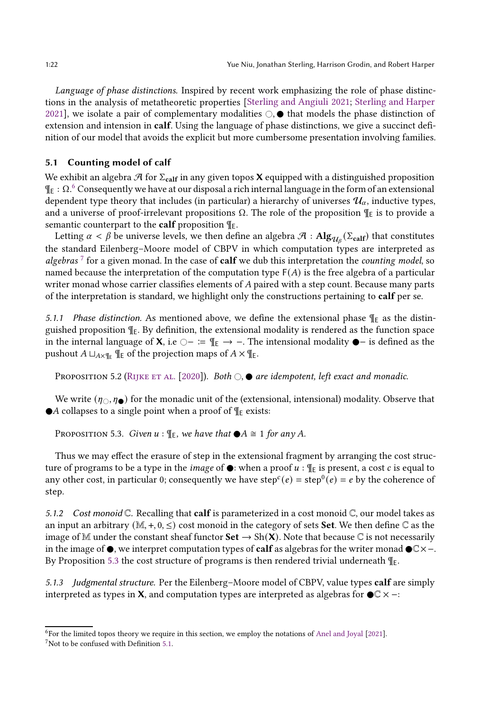Language of phase distinctions. Inspired by recent work emphasizing the role of phase distinctions in the analysis of metatheoretic properties [\[Sterling and Angiuli 2021](#page-28-3); [Sterling and Harper](#page-28-0) [2021\]](#page-28-0), we isolate a pair of complementary modalities  $\circlearrowright$ .  $\bullet$  that models the phase distinction of extension and intension in calf. Using the language of phase distinctions, we give a succinct definition of our model that avoids the explicit but more cumbersome presentation involving families.

## 5.1 Counting model of calf

We exhibit an algebra  $\mathcal{A}$  for  $\Sigma_{\text{calf}}$  in any given topos **X** equipped with a distinguished proposition ¶<sup>E</sup> : Ω. [6](#page-21-0) Consequently we have at our disposal a rich internal language in the form of an extensional dependent type theory that includes (in particular) a hierarchy of universes  $\mathcal{U}_{\alpha}$ , inductive types, and a universe of proof-irrelevant propositions  $\Omega$ . The role of the proposition  $\P_{E}$  is to provide a semantic counterpart to the **calf** proposition  $\P$ <sub>E</sub>.

Letting  $\alpha < \beta$  be universe levels, we then define an algebra  $\cal H$  :  $\bf{Alg}_{\mathcal{U}_\beta}(\Sigma_{\text{calf}})$  that constitutes the standard Eilenberg–Moore model of CBPV in which computation types are interpreted as algebras<sup>[7](#page-21-1)</sup> for a given monad. In the case of calf we dub this interpretation the counting model, so named because the interpretation of the computation type  $F(A)$  is the free algebra of a particular writer monad whose carrier classifies elements of  $A$  paired with a step count. Because many parts of the interpretation is standard, we highlight only the constructions pertaining to calf per se.

5.1.1 Phase distinction. As mentioned above, we define the extensional phase  $\P$ <sub>E</sub> as the distinguished proposition  $\P$ <sub>E</sub>. By definition, the extensional modality is rendered as the function space in the internal language of **X**, i.e  $\bigcirc$  − :=  $\mathbb{I}_E \rightarrow -$ . The intensional modality  $\bullet$  − is defined as the pushout  $A \sqcup_{A \times \P_{E}} \P_{E}$  of the projection maps of  $A \times \P_{E}$ .

PROPOSITION 5.2 (RIJKE ET AL. [\[2020\]](#page-28-6)). Both  $\bigcirc$ ,  $\bullet$  are idempotent, left exact and monadic.

<span id="page-21-2"></span>We write  $(\eta_{\circ}, \eta_{\bullet})$  for the monadic unit of the (extensional, intensional) modality. Observe that  $\bullet$ A collapses to a single point when a proof of  $\P$ <sub>E</sub> exists:

PROPOSITION 5.3. Given  $u : \P_E$ , we have that  $\bigcirc A \cong 1$  for any A.

Thus we may effect the erasure of step in the extensional fragment by arranging the cost structure of programs to be a type in the *image* of  $\bullet$ : when a proof  $u$  :  $\P$ <sub>E</sub> is present, a cost *c* is equal to any other cost, in particular 0; consequently we have step<sup>c</sup>(e) = step<sup>0</sup>(e) = e by the coherence of step.

5.1.2 Cost monoid  $\mathbb C$ . Recalling that **calf** is parameterized in a cost monoid  $\mathbb C$ , our model takes as an input an arbitrary  $(M, +, 0, \leq)$  cost monoid in the category of sets **Set**. We then define  $\mathbb{C}$  as the image of M under the constant sheaf functor  $\text{Set} \to \text{Sh}(\mathbf{X})$ . Note that because  $\mathbb C$  is not necessarily in the image of  $\bullet$ , we interpret computation types of **calf** as algebras for the writer monad  $\bullet \mathbb{C} \times \text{−}$ . By Proposition [5.3](#page-21-2) the cost structure of programs is then rendered trivial underneath  $\P$ <sub>E</sub>.

5.1.3 Judgmental structure. Per the Eilenberg-Moore model of CBPV, value types calf are simply interpreted as types in **X**, and computation types are interpreted as algebras for  $\bigcirc \mathbb{C} \times -$ :

<sup>6</sup> For the limited topos theory we require in this section, we employ the notations of [Anel and Joyal](#page-25-11) [\[2021\]](#page-25-11).

<span id="page-21-1"></span><span id="page-21-0"></span> $7$ Not to be confused with Definition [5.1.](#page-20-2)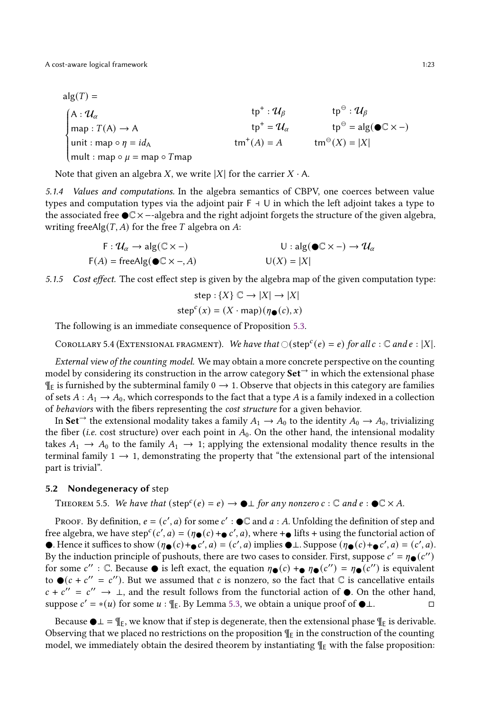$alg(T) =$  $\Bigg\}$  $\overline{\mathcal{L}}$ J. A :  $\mathcal{U}_\alpha$  $map: T(A) \rightarrow A$ unit : map  $\circ \eta = id_A$ mult : map  $\circ u = \text{map } \circ T$ map tp<sup>+</sup> :  $\mathcal{U}_{\beta}$  $tp^+ = \mathcal{U}_\alpha$  $\tan^+(A) = A$ tp $^{\oplus}:\mathcal{U}_{\beta}$  $tp^{\ominus} = alg(\bullet \mathbb{C} \times -)$  $\tan^{\Theta}(X) = |X|$ 

Note that given an algebra X, we write  $|X|$  for the carrier  $X \cdot A$ .

5.1.4 Values and computations. In the algebra semantics of CBPV, one coerces between value types and computation types via the adjoint pair  $F + U$  in which the left adjoint takes a type to the associated free C× −-algebra and the right adjoint forgets the structure of the given algebra, writing freeAlg $(T, A)$  for the free T algebra on A:

$$
F: \mathcal{U}_{\alpha} \to \text{alg}(\mathbb{C} \times -)
$$
  
 
$$
F(A) = \text{freeAlg}(\bigcirc \mathbb{C} \times -, A)
$$
  
 
$$
U: \text{alg}(\bigcirc \mathbb{C} \times -) \to \mathcal{U}_{\alpha}
$$
  
 
$$
U(X) = |X|
$$

5.1.5 Cost effect. The cost effect step is given by the algebra map of the given computation type:

$$
step: {X} \subset \rightarrow |X| \rightarrow |X|
$$

$$
stepc(x) = (X \cdot map)(\eta \bullet (c), x)
$$

The following is an immediate consequence of Proposition [5.3.](#page-21-2)

COROLLARY 5.4 (EXTENSIONAL FRAGMENT). We have that  $\bigcirc(\text{step}^c(e) = e)$  for all  $c : \mathbb{C}$  and  $e : |X|$ .

External view of the counting model. We may obtain a more concrete perspective on the counting model by considering its construction in the arrow category  $Set^{\rightarrow}$  in which the extensional phase  $\P$ <sub>E</sub> is furnished by the subterminal family  $0 \rightarrow 1$ . Observe that objects in this category are families of sets  $A: A_1 \to A_0$ , which corresponds to the fact that a type A is a family indexed in a collection of behaviors with the fibers representing the cost structure for a given behavior.

In Set<sup>→</sup> the extensional modality takes a family  $A_1 \rightarrow A_0$  to the identity  $A_0 \rightarrow A_0$ , trivializing the fiber (*i.e.* cost structure) over each point in  $A_0$ . On the other hand, the intensional modality takes  $A_1 \rightarrow A_0$  to the family  $A_1 \rightarrow 1$ ; applying the extensional modality thence results in the terminal family  $1 \rightarrow 1$ , demonstrating the property that "the extensional part of the intensional part is trivial".

#### 5.2 Nondegeneracy of step

THEOREM 5.5. We have that  $(\text{step}^c(e) = e) \rightarrow \bigcirc \bot$  for any nonzero  $c : \mathbb{C}$  and  $e : \bigcirc \mathbb{C} \times A$ .

PROOF. By definition,  $e = (c', a)$  for some  $c' : \bigcirc \mathbb{C}$  and  $a : A$ . Unfolding the definition of step and free algebra, we have step<sup>c</sup>(c', a) = ( $\eta_{\bullet}(c)$  +  $_{\bullet}$  c', a), where + ifts + using the functorial action of •. Hence it suffices to show  $(\eta \bullet (c) + \bullet c', a) = (c', a)$  implies  $\bullet \bot$ . Suppose  $(\eta \bullet (c) + \bullet c', a) = (c', a)$ . By the induction principle of pushouts, there are two cases to consider. First, suppose  $c' = \eta_{\bullet}(c'')$ for some  $c''$ : C. Because  $\bullet$  is left exact, the equation  $\eta_{\bullet}(c) +_{\bullet} \eta_{\bullet}(c'') = \eta_{\bullet}(c'')$  is equivalent to  $\bullet$  ( $c + c'' = c''$ ). But we assumed that c is nonzero, so the fact that  $\mathbb C$  is cancellative entails  $c + c'' = c'' \rightarrow \bot$ , and the result follows from the functorial action of  $\bullet$ . On the other hand, suppose  $c' = * (u)$  for some  $u : \mathbb{I}_E$ . By Lemma [5.3,](#page-21-2) we obtain a unique proof of  $\bigcirc \bot$ .

Because  $\bigcirc \bot = \mathcal{F}_E$ , we know that if step is degenerate, then the extensional phase  $\mathcal{F}_E$  is derivable. Observing that we placed no restrictions on the proposition  $\P$ <sub>E</sub> in the construction of the counting model, we immediately obtain the desired theorem by instantiating  $\P_F$  with the false proposition: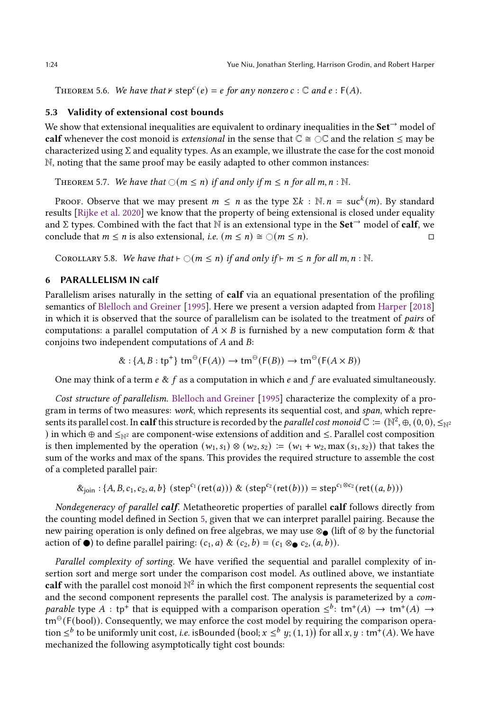THEOREM 5.6. We have that  $\forall$  step<sup>c</sup>(e) = e for any nonzero  $c : \mathbb{C}$  and  $e : F(A)$ .

#### 5.3 Validity of extensional cost bounds

We show that extensional inequalities are equivalent to ordinary inequalities in the **Set**  $\rightarrow$  model of calf whenever the cost monoid is *extensional* in the sense that  $\mathbb{C} \cong \mathbb{C} \mathbb{C}$  and the relation  $\leq$  may be characterized using  $\Sigma$  and equality types. As an example, we illustrate the case for the cost monoid N, noting that the same proof may be easily adapted to other common instances:

THEOREM 5.7. We have that  $\bigcirc$  ( $m \le n$ ) if and only if  $m \le n$  for all  $m, n : \mathbb{N}$ .

Proof. Observe that we may present  $m \leq n$  as the type  $\Sigma k$  :  $\mathbb{N}. n = \text{succ}^k(m)$ . By standard results [\[Rijke et al. 2020\]](#page-28-6) we know that the property of being extensional is closed under equality and  $\Sigma$  types. Combined with the fact that N is an extensional type in the **Set**<sup>→</sup> model of **calf**, we conclude that  $m \le n$  is also extensional, i.e.  $(m \le n) \cong \bigcirc (m \le n)$ .

COROLLARY 5.8. We have that  $\vdash \bigcirc(m \leq n)$  if and only if  $\vdash m \leq n$  for all  $m, n : \mathbb{N}$ .

## <span id="page-23-0"></span>6 PARALLELISM IN calf

Parallelism arises naturally in the setting of calf via an equational presentation of the profiling semantics of [Blelloch and Greiner](#page-25-1) [\[1995](#page-25-1)]. Here we present a version adapted from [Harper](#page-26-23) [\[2018\]](#page-26-23) in which it is observed that the source of parallelism can be isolated to the treatment of pairs of computations: a parallel computation of  $A \times B$  is furnished by a new computation form & that conjoins two independent computations of  $A$  and  $B$ :

$$
\&: \{A, B : \text{tp}^+\} \text{ tm}^{\ominus}(\text{F}(A)) \to \text{tm}^{\ominus}(\text{F}(B)) \to \text{tm}^{\ominus}(\text{F}(A \times B))
$$

One may think of a term  $e \& f$  as a computation in which  $e$  and  $f$  are evaluated simultaneously.

Cost structure of parallelism. [Blelloch and Greiner](#page-25-1) [\[1995](#page-25-1)] characterize the complexity of a program in terms of two measures: work, which represents its sequential cost, and span, which represents its parallel cost. In **calf** this structure is recorded by the *parallel cost monoid*  $\mathbb C\coloneqq(\mathbb N^2,\oplus,(0,0),\leq_{\mathbb N^2})$ ) in which  $\oplus$  and  $\leq_{N^2}$  are component-wise extensions of addition and  $\leq$ . Parallel cost composition is then implemented by the operation  $(w_1, s_1) \otimes (w_2, s_2) := (w_1 + w_2, \max(s_1, s_2))$  that takes the sum of the works and max of the spans. This provides the required structure to assemble the cost of a completed parallel pair:

$$
\&_{\text{join}} : \{A, B, c_1, c_2, a, b\} \text{ (step}^{c_1}(\text{ret}(a))) \& (\text{step}^{c_2}(\text{ret}(b))) = \text{step}^{c_1 \otimes c_2}(\text{ret}((a, b)))
$$

Nondegeneracy of parallel calf. Metatheoretic properties of parallel calf follows directly from the counting model defined in Section [5,](#page-20-0) given that we can interpret parallel pairing. Because the new pairing operation is only defined on free algebras, we may use ⊗● (lift of ⊗ by the functorial action of  $\bullet$ ) to define parallel pairing:  $(c_1, a) \& (c_2, b) = (c_1 \otimes \bullet c_2, (a, b))$ .

Parallel complexity of sorting. We have verified the sequential and parallel complexity of insertion sort and merge sort under the comparison cost model. As outlined above, we instantiate calf with the parallel cost monoid  $\mathbb{N}^2$  in which the first component represents the sequential cost and the second component represents the parallel cost. The analysis is parameterized by a comparable type A : tp<sup>+</sup> that is equipped with a comparison operation  $\leq^b$ : tm<sup>+</sup>(A)  $\rightarrow$  tm<sup>+</sup>(A)  $\rightarrow$  $tm^{\Theta}(F(bool))$ . Consequently, we may enforce the cost model by requiring the comparison operation  $\leq^b$  to be uniformly unit cost, *i.e.* isBounded (bool;  $x \leq^b y$ ;  $(1, 1)$ ) for all  $x, y : \text{tm}^+(A)$ . We have mechanized the following asymptotically tight cost bounds: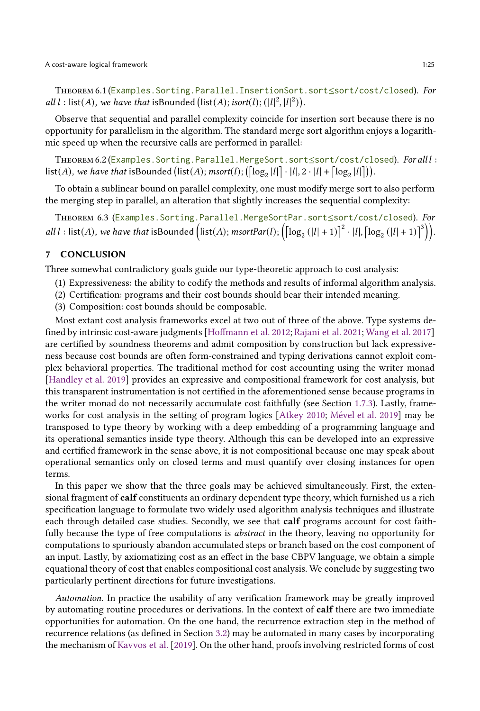THEOREM 6.1 (Examples. Sorting.Parallel.InsertionSort.sort≤sort/cost/closed). For all  $l$  : list(A), we have that isBounded (list(A); isort(l);  $(|l|^2, |l|^2)$ ).

Observe that sequential and parallel complexity coincide for insertion sort because there is no opportunity for parallelism in the algorithm. The standard merge sort algorithm enjoys a logarithmic speed up when the recursive calls are performed in parallel:

THEOREM 6.2 (Examples. Sorting.Parallel.MergeSort.sort≤sort/cost/closed). For alll :  $\textsf{list}(A)$ , we have that isBounded  $\big(\textsf{list}(A); \textsf{msort}(l); \big(\big[\log_2|l|\big]\cdot|l|, 2\cdot|l| + \big[\log_2|l|\big]\big)\big).$ 

To obtain a sublinear bound on parallel complexity, one must modify merge sort to also perform the merging step in parallel, an alteration that slightly increases the sequential complexity:

THEOREM 6.3 (Examples. Sorting. Parallel.MergeSortPar.sort≤sort/cost/closed). For all l: list(A), we have that isBounded  $\left(\text{list}(A); \text{msortPar}(l); \left(\lceil \log_2(|l|+1) \rceil^2 \cdot |l|, \lceil \log_2(|l|+1) \rceil^3 \right) \right)$ .

## 7 CONCLUSION

Three somewhat contradictory goals guide our type-theoretic approach to cost analysis:

- (1) Expressiveness: the ability to codify the methods and results of informal algorithm analysis.
- (2) Certification: programs and their cost bounds should bear their intended meaning.
- (3) Composition: cost bounds should be composable.

Most extant cost analysis frameworks excel at two out of three of the above. Type systems defined by intrinsic cost-aware judgments [\[Hoffmann et al. 2012;](#page-26-10) [Rajani et al. 2021](#page-27-13); [Wang et al. 2017\]](#page-28-5) are certified by soundness theorems and admit composition by construction but lack expressiveness because cost bounds are often form-constrained and typing derivations cannot exploit complex behavioral properties. The traditional method for cost accounting using the writer monad [\[Handley et al. 2019](#page-26-13)] provides an expressive and compositional framework for cost analysis, but this transparent instrumentation is not certified in the aforementioned sense because programs in the writer monad do not necessarily accumulate cost faithfully (see Section [1.7.3\)](#page-5-0). Lastly, frameworks for cost analysis in the setting of program logics [\[Atkey 2010](#page-25-7); [Mével et al. 2019](#page-27-14)] may be transposed to type theory by working with a deep embedding of a programming language and its operational semantics inside type theory. Although this can be developed into an expressive and certified framework in the sense above, it is not compositional because one may speak about operational semantics only on closed terms and must quantify over closing instances for open terms.

In this paper we show that the three goals may be achieved simultaneously. First, the extensional fragment of **calf** constituents an ordinary dependent type theory, which furnished us a rich specification language to formulate two widely used algorithm analysis techniques and illustrate each through detailed case studies. Secondly, we see that calf programs account for cost faithfully because the type of free computations is abstract in the theory, leaving no opportunity for computations to spuriously abandon accumulated steps or branch based on the cost component of an input. Lastly, by axiomatizing cost as an effect in the base CBPV language, we obtain a simple equational theory of cost that enables compositional cost analysis. We conclude by suggesting two particularly pertinent directions for future investigations.

Automation. In practice the usability of any verification framework may be greatly improved by automating routine procedures or derivations. In the context of calf there are two immediate opportunities for automation. On the one hand, the recurrence extraction step in the method of recurrence relations (as defined in Section [3.2\)](#page-14-1) may be automated in many cases by incorporating the mechanism of [Kavvos et al.](#page-27-1) [\[2019\]](#page-27-1). On the other hand, proofs involving restricted forms of cost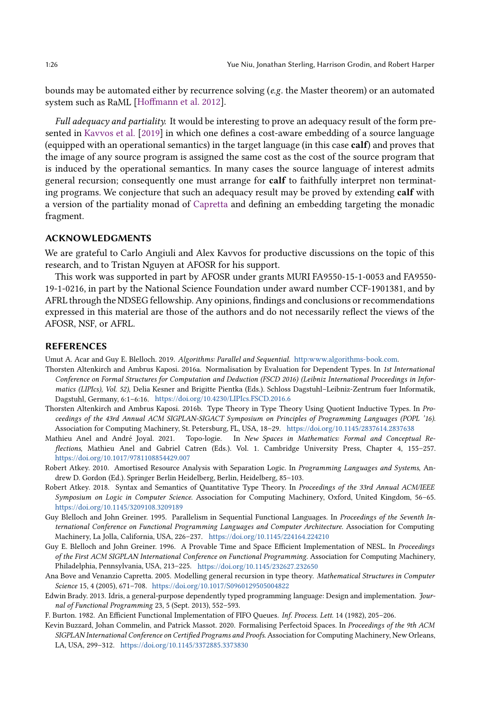bounds may be automated either by recurrence solving ( $e.g.$  the Master theorem) or an automated system such as RaML [\[Hoffmann et al. 2012](#page-26-10)].

Full adequacy and partiality. It would be interesting to prove an adequacy result of the form presented in [Kavvos et al.](#page-27-1) [\[2019\]](#page-27-1) in which one defines a cost-aware embedding of a source language (equipped with an operational semantics) in the target language (in this case calf) and proves that the image of any source program is assigned the same cost as the cost of the source program that is induced by the operational semantics. In many cases the source language of interest admits general recursion; consequently one must arrange for **calf** to faithfully interpret non terminating programs. We conjecture that such an adequacy result may be proved by extending calf with a version of the partiality monad of [Capretta](#page-26-5) and defining an embedding targeting the monadic fragment.

#### ACKNOWLEDGMENTS

We are grateful to Carlo Angiuli and Alex Kavvos for productive discussions on the topic of this research, and to Tristan Nguyen at AFOSR for his support.

This work was supported in part by AFOSR under grants MURI FA9550-15-1-0053 and FA9550- 19-1-0216, in part by the National Science Foundation under award number CCF-1901381, and by AFRL through the NDSEG fellowship. Any opinions, findings and conclusions or recommendations expressed in this material are those of the authors and do not necessarily reflect the views of the AFOSR, NSF, or AFRL.

## REFERENCES

<span id="page-25-4"></span>Umut A. Acar and Guy E. Blelloch. 2019. Algorithms: Parallel and Sequential. [http:www.algorithms-book.com.](http:www.algorithms-book.com)

- <span id="page-25-3"></span>Thorsten Altenkirch and Ambrus Kaposi. 2016a. Normalisation by Evaluation for Dependent Types. In 1st International Conference on Formal Structures for Computation and Deduction (FSCD 2016) (Leibniz International Proceedings in Informatics (LIPIcs), Vol. 52), Delia Kesner and Brigitte Pientka (Eds.). Schloss Dagstuhl–Leibniz-Zentrum fuer Informatik, Dagstuhl, Germany, 6:1–6:16. <https://doi.org/10.4230/LIPIcs.FSCD.2016.6>
- <span id="page-25-8"></span>Thorsten Altenkirch and Ambrus Kaposi. 2016b. Type Theory in Type Theory Using Quotient Inductive Types. In Proceedings of the 43rd Annual ACM SIGPLAN-SIGACT Symposium on Principles of Programming Languages (POPL '16). Association for Computing Machinery, St. Petersburg, FL, USA, 18–29. <https://doi.org/10.1145/2837614.2837638>
- <span id="page-25-11"></span>Mathieu Anel and André Joyal. 2021. Topo-logie. In New Spaces in Mathematics: Formal and Conceptual Reflections, Mathieu Anel and Gabriel Catren (Eds.). Vol. 1. Cambridge University Press, Chapter 4, 155–257. <https://doi.org/10.1017/9781108854429.007>
- <span id="page-25-7"></span>Robert Atkey. 2010. Amortised Resource Analysis with Separation Logic. In Programming Languages and Systems, Andrew D. Gordon (Ed.). Springer Berlin Heidelberg, Berlin, Heidelberg, 85–103.
- <span id="page-25-6"></span>Robert Atkey. 2018. Syntax and Semantics of Quantitative Type Theory. In Proceedings of the 33rd Annual ACM/IEEE Symposium on Logic in Computer Science. Association for Computing Machinery, Oxford, United Kingdom, 56–65. <https://doi.org/10.1145/3209108.3209189>
- <span id="page-25-1"></span>Guy Blelloch and John Greiner. 1995. Parallelism in Sequential Functional Languages. In Proceedings of the Seventh International Conference on Functional Programming Languages and Computer Architecture. Association for Computing Machinery, La Jolla, California, USA, 226–237. <https://doi.org/10.1145/224164.224210>
- <span id="page-25-2"></span>Guy E. Blelloch and John Greiner. 1996. A Provable Time and Space Efficient Implementation of NESL. In Proceedings of the First ACM SIGPLAN International Conference on Functional Programming. Association for Computing Machinery, Philadelphia, Pennsylvania, USA, 213–225. <https://doi.org/10.1145/232627.232650>
- <span id="page-25-5"></span>Ana Bove and Venanzio Capretta. 2005. Modelling general recursion in type theory. Mathematical Structures in Computer Science 15, 4 (2005), 671–708. <https://doi.org/10.1017/S0960129505004822>
- <span id="page-25-0"></span>Edwin Brady. 2013. Idris, a general-purpose dependently typed programming language: Design and implementation. Journal of Functional Programming 23, 5 (Sept. 2013), 552–593.
- <span id="page-25-10"></span>F. Burton. 1982. An Efficient Functional Implementation of FIFO Queues. Inf. Process. Lett. 14 (1982), 205–206.
- <span id="page-25-9"></span>Kevin Buzzard, Johan Commelin, and Patrick Massot. 2020. Formalising Perfectoid Spaces. In Proceedings of the 9th ACM SIGPLAN International Conference on Certified Programs and Proofs. Association for Computing Machinery, New Orleans, LA, USA, 299–312. <https://doi.org/10.1145/3372885.3373830>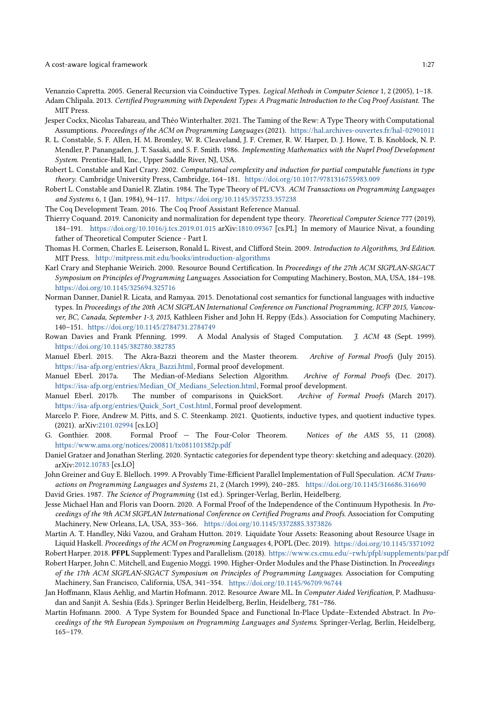A cost-aware logical framework 1:27

<span id="page-26-5"></span>Venanzio Capretta. 2005. General Recursion via Coinductive Types. Logical Methods in Computer Science 1, 2 (2005), 1–18.

- <span id="page-26-21"></span>Adam Chlipala. 2013. Certified Programming with Dependent Types: A Pragmatic Introduction to the Coq Proof Assistant. The MIT Press.
- <span id="page-26-24"></span>Jesper Cockx, Nicolas Tabareau, and Théo Winterhalter. 2021. The Taming of the Rew: A Type Theory with Computational Assumptions. Proceedings of the ACM on Programming Languages (2021). <https://hal.archives-ouvertes.fr/hal-02901011>
- <span id="page-26-0"></span>R. L. Constable, S. F. Allen, H. M. Bromley, W. R. Cleaveland, J. F. Cremer, R. W. Harper, D. J. Howe, T. B. Knoblock, N. P. Mendler, P. Panangaden, J. T. Sasaki, and S. F. Smith. 1986. Implementing Mathematics with the Nuprl Proof Development System. Prentice-Hall, Inc., Upper Saddle River, NJ, USA.
- <span id="page-26-7"></span>Robert L. Constable and Karl Crary. 2002. Computational complexity and induction for partial computable functions in type theory. Cambridge University Press, Cambridge, 164–181. <https://doi.org/10.1017/9781316755983.009>
- <span id="page-26-6"></span>Robert L. Constable and Daniel R. Zlatin. 1984. The Type Theory of PL/CV3. ACM Transactions on Programming Languages and Systems 6, 1 (Jan. 1984), 94–117. <https://doi.org/10.1145/357233.357238>
- <span id="page-26-1"></span>The Coq Development Team. 2016. The Coq Proof Assistant Reference Manual.
- <span id="page-26-4"></span>Thierry Coquand. 2019. Canonicity and normalization for dependent type theory. Theoretical Computer Science 777 (2019), 184–191. <https://doi.org/10.1016/j.tcs.2019.01.015> arXiv[:1810.09367](https://arxiv.org/abs/1810.09367) [cs.PL] In memory of Maurice Nivat, a founding father of Theoretical Computer Science - Part I.
- <span id="page-26-12"></span>Thomas H. Cormen, Charles E. Leiserson, Ronald L. Rivest, and Clifford Stein. 2009. Introduction to Algorithms, 3rd Edition. MIT Press. <http://mitpress.mit.edu/books/introduction-algorithms>
- <span id="page-26-11"></span>Karl Crary and Stephanie Weirich. 2000. Resource Bound Certification. In Proceedings of the 27th ACM SIGPLAN-SIGACT Symposium on Principles of Programming Languages. Association for Computing Machinery, Boston, MA, USA, 184–198. <https://doi.org/10.1145/325694.325716>
- Norman Danner, Daniel R. Licata, and Ramyaa. 2015. Denotational cost semantics for functional languages with inductive types. In Proceedings of the 20th ACM SIGPLAN International Conference on Functional Programming, ICFP 2015, Vancouver, BC, Canada, September 1-3, 2015, Kathleen Fisher and John H. Reppy (Eds.). Association for Computing Machinery, 140–151. <https://doi.org/10.1145/2784731.2784749>
- <span id="page-26-8"></span>Rowan Davies and Frank Pfenning. 1999. A Modal Analysis of Staged Computation. J. ACM 48 (Sept. 1999). <https://doi.org/10.1145/382780.382785>
- <span id="page-26-16"></span>Manuel Eberl. 2015. The Akra-Bazzi theorem and the Master theorem. Archive of Formal Proofs (July 2015). [https://isa-afp.org/entries/Akra\\_Bazzi.html,](https://isa-afp.org/entries/Akra_Bazzi.html) Formal proof development.
- <span id="page-26-15"></span>Manuel Eberl. 2017a. The Median-of-Medians Selection Algorithm. Archive of Formal Proofs (Dec. 2017). [https://isa-afp.org/entries/Median\\_Of\\_Medians\\_Selection.html,](https://isa-afp.org/entries/Median_Of_Medians_Selection.html) Formal proof development.
- <span id="page-26-14"></span>Manuel Eberl. 2017b. The number of comparisons in QuickSort. Archive of Formal Proofs (March 2017). [https://isa-afp.org/entries/Quick\\_Sort\\_Cost.html,](https://isa-afp.org/entries/Quick_Sort_Cost.html) Formal proof development.
- <span id="page-26-17"></span>Marcelo P. Fiore, Andrew M. Pitts, and S. C. Steenkamp. 2021. Quotients, inductive types, and quotient inductive types. (2021). arXiv[:2101.02994](https://arxiv.org/abs/2101.02994) [cs.LO]
- <span id="page-26-19"></span>G. Gonthier. 2008. Formal Proof — The Four-Color Theorem. Notices of the AMS 55, 11 (2008). <https://www.ams.org/notices/200811/tx081101382p.pdf>
- <span id="page-26-18"></span>Daniel Gratzer and Jonathan Sterling. 2020. Syntactic categories for dependent type theory: sketching and adequacy. (2020). arXiv[:2012.10783](https://arxiv.org/abs/2012.10783) [cs.LO]
- <span id="page-26-2"></span>John Greiner and Guy E. Blelloch. 1999. A Provably Time-Efficient Parallel Implementation of Full Speculation. ACM Transactions on Programming Languages and Systems 21, 2 (March 1999), 240–285. <https://doi.org/10.1145/316686.316690>
- <span id="page-26-22"></span>David Gries. 1987. The Science of Programming (1st ed.). Springer-Verlag, Berlin, Heidelberg.
- <span id="page-26-20"></span>Jesse Michael Han and Floris van Doorn. 2020. A Formal Proof of the Independence of the Continuum Hypothesis. In Proceedings of the 9th ACM SIGPLAN International Conference on Certified Programs and Proofs. Association for Computing Machinery, New Orleans, LA, USA, 353–366. <https://doi.org/10.1145/3372885.3373826>
- <span id="page-26-13"></span>Martin A. T. Handley, Niki Vazou, and Graham Hutton. 2019. Liquidate Your Assets: Reasoning about Resource Usage in Liquid Haskell. Proceedings of the ACM on Programming Languages 4, POPL (Dec. 2019). <https://doi.org/10.1145/3371092>
- <span id="page-26-23"></span>Robert Harper. 2018. PFPL Supplement: Types and Parallelism. (2018). <https://www.cs.cmu.edu/~rwh/pfpl/supplements/par.pdf>
- <span id="page-26-3"></span>Robert Harper, John C. Mitchell, and Eugenio Moggi. 1990. Higher-Order Modules and the Phase Distinction. In Proceedings of the 17th ACM SIGPLAN-SIGACT Symposium on Principles of Programming Languages. Association for Computing Machinery, San Francisco, California, USA, 341–354. <https://doi.org/10.1145/96709.96744>
- <span id="page-26-10"></span>Jan Hoffmann, Klaus Aehlig, and Martin Hofmann. 2012. Resource Aware ML. In Computer Aided Verification, P. Madhusudan and Sanjit A. Seshia (Eds.). Springer Berlin Heidelberg, Berlin, Heidelberg, 781–786.
- <span id="page-26-9"></span>Martin Hofmann. 2000. A Type System for Bounded Space and Functional In-Place Update–Extended Abstract. In Proceedings of the 9th European Symposium on Programming Languages and Systems. Springer-Verlag, Berlin, Heidelberg, 165–179.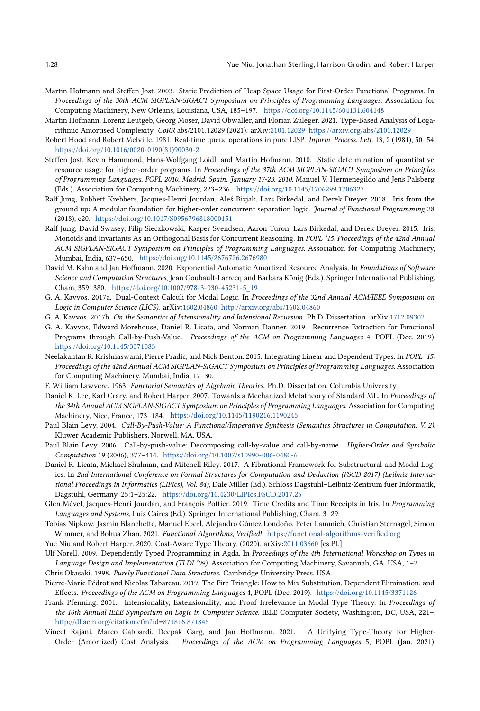- <span id="page-27-8"></span>Martin Hofmann and Steffen Jost. 2003. Static Prediction of Heap Space Usage for First-Order Functional Programs. In Proceedings of the 30th ACM SIGPLAN-SIGACT Symposium on Principles of Programming Languages. Association for Computing Machinery, New Orleans, Louisiana, USA, 185–197. <https://doi.org/10.1145/604131.604148>
- Martin Hofmann, Lorenz Leutgeb, Georg Moser, David Obwaller, and Florian Zuleger. 2021. Type-Based Analysis of Logarithmic Amortised Complexity. CoRR abs/2101.12029 (2021). arXiv[:2101.12029 https://arxiv.org/abs/2101.12029](https://arxiv.org/abs/2101.12029)
- <span id="page-27-20"></span>Robert Hood and Robert Melville. 1981. Real-time queue operations in pure LISP. Inform. Process. Lett. 13, 2 (1981), 50–54. [https://doi.org/10.1016/0020-0190\(81\)90030-2](https://doi.org/10.1016/0020-0190(81)90030-2)
- <span id="page-27-9"></span>Steffen Jost, Kevin Hammond, Hans-Wolfgang Loidl, and Martin Hofmann. 2010. Static determination of quantitative resource usage for higher-order programs. In Proceedings of the 37th ACM SIGPLAN-SIGACT Symposium on Principles of Programming Languages, POPL 2010, Madrid, Spain, January 17-23, 2010, Manuel V. Hermenegildo and Jens Palsberg (Eds.). Association for Computing Machinery, 223–236. <https://doi.org/10.1145/1706299.1706327>
- <span id="page-27-15"></span>Ralf Jung, Robbert Krebbers, Jacques-Henri Jourdan, Aleš Bizjak, Lars Birkedal, and Derek Dreyer. 2018. Iris from the ground up: A modular foundation for higher-order concurrent separation logic. Journal of Functional Programming 28 (2018), e20. <https://doi.org/10.1017/S0956796818000151>
- <span id="page-27-16"></span>Ralf Jung, David Swasey, Filip Sieczkowski, Kasper Svendsen, Aaron Turon, Lars Birkedal, and Derek Dreyer. 2015. Iris: Monoids and Invariants As an Orthogonal Basis for Concurrent Reasoning. In POPL '15: Proceedings of the 42nd Annual ACM SIGPLAN-SIGACT Symposium on Principles of Programming Languages. Association for Computing Machinery, Mumbai, India, 637–650. <https://doi.org/10.1145/2676726.2676980>
- <span id="page-27-10"></span>David M. Kahn and Jan Hoffmann. 2020. Exponential Automatic Amortized Resource Analysis. In Foundations of Software Science and Computation Structures, Jean Goubault-Larrecq and Barbara König (Eds.). Springer International Publishing, Cham, 359–380. [https://doi.org/10.1007/978-3-030-45231-5\\_19](https://doi.org/10.1007/978-3-030-45231-5_19)
- <span id="page-27-6"></span>G. A. Kavvos. 2017a. Dual-Context Calculi for Modal Logic. In Proceedings of the 32nd Annual ACM/IEEE Symposium on Logic in Computer Science (LICS). arXiv[:1602.04860](https://arxiv.org/abs/1602.04860)<http://arxiv.org/abs/1602.04860>
- <span id="page-27-5"></span>G. A. Kavvos. 2017b. On the Semantics of Intensionality and Intensional Recursion. Ph.D. Dissertation. arXiv[:1712.09302](https://arxiv.org/abs/1712.09302)
- <span id="page-27-1"></span>G. A. Kavvos, Edward Morehouse, Daniel R. Licata, and Norman Danner. 2019. Recurrence Extraction for Functional Programs through Call-by-Push-Value. Proceedings of the ACM on Programming Languages 4, POPL (Dec. 2019). <https://doi.org/10.1145/3371083>
- <span id="page-27-11"></span>Neelakantan R. Krishnaswami, Pierre Pradic, and Nick Benton. 2015. Integrating Linear and Dependent Types. In POPL '15: Proceedings of the 42nd Annual ACM SIGPLAN-SIGACT Symposium on Principles of Programming Languages. Association for Computing Machinery, Mumbai, India, 17–30.
- <span id="page-27-22"></span>F. William Lawvere. 1963. Functorial Semantics of Algebraic Theories. Ph.D. Dissertation. Columbia University.
- <span id="page-27-19"></span>Daniel K. Lee, Karl Crary, and Robert Harper. 2007. Towards a Mechanized Metatheory of Standard ML. In Proceedings of the 34th Annual ACM SIGPLAN-SIGACT Symposium on Principles of Programming Languages. Association for Computing Machinery, Nice, France, 173–184. <https://doi.org/10.1145/1190216.1190245>
- <span id="page-27-3"></span>Paul Blain Levy. 2004. Call-By-Push-Value: A Functional/Imperative Synthesis (Semantics Structures in Computation, V. 2). Kluwer Academic Publishers, Norwell, MA, USA.
- <span id="page-27-18"></span>Paul Blain Levy. 2006. Call-by-push-value: Decomposing call-by-value and call-by-name. Higher-Order and Symbolic Computation 19 (2006), 377–414. <https://doi.org/10.1007/s10990-006-0480-6>
- <span id="page-27-12"></span>Daniel R. Licata, Michael Shulman, and Mitchell Riley. 2017. A Fibrational Framework for Substructural and Modal Logics. In 2nd International Conference on Formal Structures for Computation and Deduction (FSCD 2017) (Leibniz International Proceedings in Informatics (LIPIcs), Vol. 84), Dale Miller (Ed.). Schloss Dagstuhl–Leibniz-Zentrum fuer Informatik, Dagstuhl, Germany, 25:1–25:22. <https://doi.org/10.4230/LIPIcs.FSCD.2017.25>
- <span id="page-27-14"></span>Glen Mével, Jacques-Henri Jourdan, and François Pottier. 2019. Time Credits and Time Receipts in Iris. In Programming Languages and Systems, Luís Caires (Ed.). Springer International Publishing, Cham, 3–29.
- <span id="page-27-17"></span>Tobias Nipkow, Jasmin Blanchette, Manuel Eberl, Alejandro Gómez Londoño, Peter Lammich, Christian Sternagel, Simon Wimmer, and Bohua Zhan. 2021. Functional Algorithms, Verified! <https://functional-algorithms-verified.org>
- <span id="page-27-4"></span>Yue Niu and Robert Harper. 2020. Cost-Aware Type Theory. (2020). arXiv[:2011.03660](https://arxiv.org/abs/2011.03660) [cs.PL]
- <span id="page-27-0"></span>Ulf Norell. 2009. Dependently Typed Programming in Agda. In Proceedings of the 4th International Workshop on Types in Language Design and Implementation (TLDI '09). Association for Computing Machinery, Savannah, GA, USA, 1–2. Chris Okasaki. 1998. Purely Functional Data Structures. Cambridge University Press, USA.
- <span id="page-27-21"></span><span id="page-27-2"></span>Pierre-Marie Pédrot and Nicolas Tabareau. 2019. The Fire Triangle: How to Mix Substitution, Dependent Elimination, and Effects. Proceedings of the ACM on Programming Languages 4, POPL (Dec. 2019). <https://doi.org/10.1145/3371126>
- <span id="page-27-7"></span>Frank Pfenning. 2001. Intensionality, Extensionality, and Proof Irrelevance in Modal Type Theory. In Proceedings of the 16th Annual IEEE Symposium on Logic in Computer Science. IEEE Computer Society, Washington, DC, USA, 221–. <http://dl.acm.org/citation.cfm?id=871816.871845>
- <span id="page-27-13"></span>Vineet Rajani, Marco Gaboardi, Deepak Garg, and Jan Hoffmann. 2021. A Unifying Type-Theory for Higher-Order (Amortized) Cost Analysis. Proceedings of the ACM on Programming Languages 5, POPL (Jan. 2021).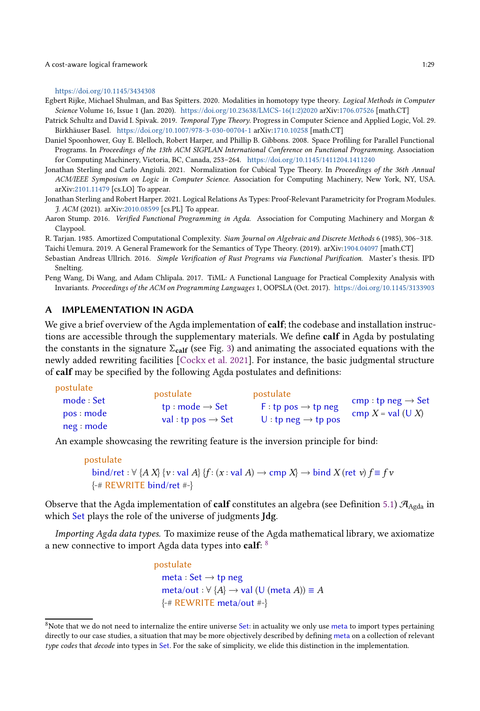A cost-aware logical framework 1:29

#### <https://doi.org/10.1145/3434308>

<span id="page-28-6"></span>Egbert Rijke, Michael Shulman, and Bas Spitters. 2020. Modalities in homotopy type theory. Logical Methods in Computer Science Volume 16, Issue 1 (Jan. 2020). [https://doi.org/10.23638/LMCS-16\(1:2\)2020](https://doi.org/10.23638/LMCS-16(1:2)2020) arXiv[:1706.07526](https://arxiv.org/abs/1706.07526) [math.CT]

- <span id="page-28-7"></span>Patrick Schultz and David I. Spivak. 2019. Temporal Type Theory. Progress in Computer Science and Applied Logic, Vol. 29. Birkhäuser Basel. <https://doi.org/10.1007/978-3-030-00704-1> arXiv[:1710.10258](https://arxiv.org/abs/1710.10258) [math.CT]
- <span id="page-28-2"></span>Daniel Spoonhower, Guy E. Blelloch, Robert Harper, and Phillip B. Gibbons. 2008. Space Profiling for Parallel Functional Programs. In Proceedings of the 13th ACM SIGPLAN International Conference on Functional Programming. Association for Computing Machinery, Victoria, BC, Canada, 253–264. <https://doi.org/10.1145/1411204.1411240>
- <span id="page-28-3"></span>Jonathan Sterling and Carlo Angiuli. 2021. Normalization for Cubical Type Theory. In Proceedings of the 36th Annual ACM/IEEE Symposium on Logic in Computer Science. Association for Computing Machinery, New York, NY, USA. arXiv[:2101.11479](https://arxiv.org/abs/2101.11479) [cs.LO] To appear.
- <span id="page-28-0"></span>Jonathan Sterling and Robert Harper. 2021. Logical Relations As Types: Proof-Relevant Parametricity for Program Modules. J. ACM (2021). arXiv[:2010.08599](https://arxiv.org/abs/2010.08599) [cs.PL] To appear.
- <span id="page-28-9"></span>Aaron Stump. 2016. Verified Functional Programming in Agda. Association for Computing Machinery and Morgan & Claypool.

<span id="page-28-4"></span>R. Tarjan. 1985. Amortized Computational Complexity. Siam Journal on Algebraic and Discrete Methods 6 (1985), 306–318.

<span id="page-28-8"></span>Taichi Uemura. 2019. A General Framework for the Semantics of Type Theory. (2019). arXiv[:1904.04097](https://arxiv.org/abs/1904.04097) [math.CT]

<span id="page-28-10"></span>Sebastian Andreas Ullrich. 2016. Simple Verification of Rust Programs via Functional Purification. Master's thesis. IPD Snelting.

<span id="page-28-5"></span>Peng Wang, Di Wang, and Adam Chlipala. 2017. TiML: A Functional Language for Practical Complexity Analysis with Invariants. Proceedings of the ACM on Programming Languages 1, OOPSLA (Oct. 2017). <https://doi.org/10.1145/3133903>

## <span id="page-28-1"></span>A IMPLEMENTATION IN AGDA

We give a brief overview of the Agda implementation of calf; the codebase and installation instructions are accessible through the supplementary materials. We define calf in Agda by postulating the constants in the signature  $\Sigma_{\text{calf}}$  (see Fig. [3\)](#page-13-0) and animating the associated equations with the newly added rewriting facilities [\[Cockx et al. 2021\]](#page-26-24). For instance, the basic judgmental structure of calf may be specified by the following Agda postulates and definitions:

| postulate<br>mode : Set<br>pos : mode | postulate<br>tp: mode $\rightarrow$ Set<br>val: tp pos $\rightarrow$ Set | postulate<br>$F:tp pos \rightarrow tp neg$<br>U: tp neg $\rightarrow$ tp pos | cmp: tp neg $\rightarrow$ Set<br>cmp $X = val$ (U X) |
|---------------------------------------|--------------------------------------------------------------------------|------------------------------------------------------------------------------|------------------------------------------------------|
| neg: mode                             |                                                                          |                                                                              |                                                      |

An example showcasing the rewriting feature is the inversion principle for bind:

```
postulate
  bind/ret : \forall {A X} {v : val A} {f : (x : val A) \rightarrow cmp X} \rightarrow bind X (ret v) f \equiv f v{-# REWRITE bind/ret #-}
```
Observe that the Agda implementation of **calf** constitutes an algebra (see Definition [5.1\)](#page-20-2)  $\mathcal{A}_{\text{Agda}}$  in which Set plays the role of the universe of judgments Jdg.

Importing Agda data types. To maximize reuse of the Agda mathematical library, we axiomatize a new connective to import Agda data types into  $\mathbf{calf:}~^{8}$  $\mathbf{calf:}~^{8}$  $\mathbf{calf:}~^{8}$ 

```
postulate
  meta : Set \rightarrow tp neg
  meta/out : \forall {A} \rightarrow val (U (meta A)) \equiv A
  {-# REWRITE meta/out #-}
```
<span id="page-28-11"></span><sup>&</sup>lt;sup>8</sup>Note that we do not need to internalize the entire universe Set: in actuality we only use meta to import types pertaining directly to our case studies, a situation that may be more objectively described by defining meta on a collection of relevant type codes that decode into types in Set. For the sake of simplicity, we elide this distinction in the implementation.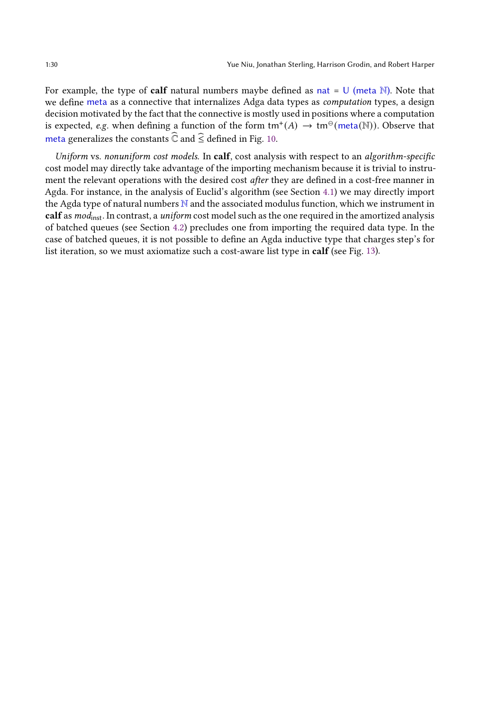For example, the type of **calf** natural numbers maybe defined as nat =  $\cup$  (meta N). Note that we define meta as a connective that internalizes Adga data types as computation types, a design decision motivated by the fact that the connective is mostly used in positions where a computation is expected, e.g. when defining a function of the form  $tm^+(A) \to tm^\Theta(meta(\mathbb{N}))$ . Observe that meta generalizes the constants  $\widehat{\mathbb{C}}$  and  $\widehat{\le}$  defined in Fig. [10.](#page-31-0)

Uniform vs. nonuniform cost models. In calf, cost analysis with respect to an algorithm-specific cost model may directly take advantage of the importing mechanism because it is trivial to instrument the relevant operations with the desired cost *after* they are defined in a cost-free manner in Agda. For instance, in the analysis of Euclid's algorithm (see Section [4.1\)](#page-16-2) we may directly import the Agda type of natural numbers  $N$  and the associated modulus function, which we instrument in calf as mod<sub>inst</sub>. In contrast, a *uniform* cost model such as the one required in the amortized analysis of batched queues (see Section [4.2\)](#page-18-0) precludes one from importing the required data type. In the case of batched queues, it is not possible to define an Agda inductive type that charges step's for list iteration, so we must axiomatize such a cost-aware list type in calf (see Fig. [13\)](#page-34-0).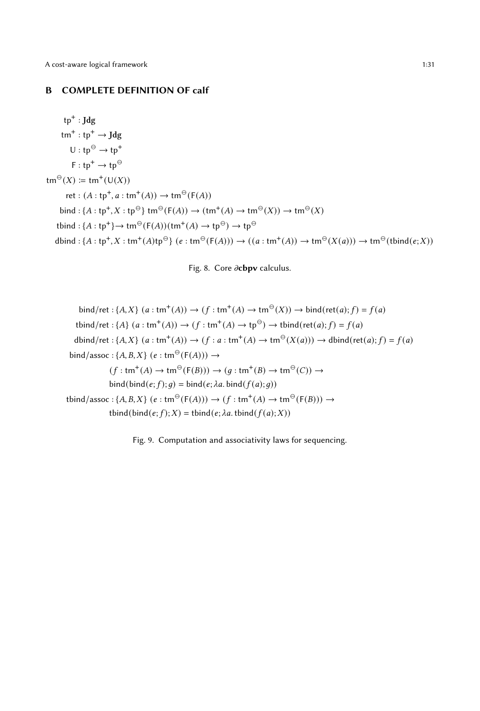## <span id="page-30-0"></span>B COMPLETE DEFINITION OF calf

 $tp^+$ : Jdg  $\tan^+ : \text{tp}^+ \to \text{Jdg}$  $U : tp^{\ominus} \rightarrow tp^+$  $F: tp^+ \to tp^\ominus$  $\tan^{\Theta}(X) \coloneqq \text{tm}^+(\text{U}(X))$ ret :  $(A : tp^+, a : tm^+(A)) \to tm^{\Theta}(F(A))$ bind : { $A : tp^+, X : tp^\Theta$ } tm<sup> $\Theta$ </sup>( $F(A)$ )  $\rightarrow$  (tm<sup>+</sup>( $A$ )  $\rightarrow$  tm<sup> $\Theta$ </sup>( $X$ ))  $\rightarrow$  tm<sup> $\Theta$ </sup>( $X$ ) tbind : { $A : tp^+$ }  $\rightarrow$  tm<sup> $\ominus$ </sup>( $F(A)$ )(tm<sup>+</sup>( $A$ )  $\rightarrow$  tp<sup> $\ominus$ </sup>)  $\rightarrow$  tp<sup> $\ominus$ </sup>  $\text{dbind}: \{A : tp^+, X : tm^+(A)tp^{\ominus}\} \ (e : tm^{\ominus}(F(A))) \rightarrow ((a : tm^+(A)) \rightarrow tm^{\ominus}(X(a))) \rightarrow tm^{\ominus}(tbind(e;X))$ 



\n
$$
\text{bind/ret}: \{A, X\} \ (a : \text{tm}^+(A)) \to (f : \text{tm}^+(A) \to \text{tm}^\ominus(X)) \to \text{bind}(\text{ret}(a); f) = f(a)
$$
\n

\n\n $\text{tbind/ret}: \{A\} \ (a : \text{tm}^+(A)) \to (f : \text{tm}^+(A) \to \text{tp}^\ominus) \to \text{tbind}(\text{ret}(a); f) = f(a)$ \n

\n\n $\text{dbind/ret}: \{A, X\} \ (a : \text{tm}^+(A)) \to (f : a : \text{tm}^+(A) \to \text{tm}^\ominus(X(a))) \to \text{dbind}(\text{ret}(a); f) = f(a)$ \n

\n\n $\text{bind/assoc}: \{A, B, X\} \ (e : \text{tm}^\ominus(F(A))) \to (g : \text{tm}^+(B) \to \text{tm}^\ominus(C)) \to$ \n

\n\n $\text{bind}(\text{bind}(e; f); g) = \text{bind}(e; \lambda a, \text{bind}(f(a); g))$ \n

\n\n $\text{tbind/assoc}: \{A, B, X\} \ (e : \text{tm}^\ominus(F(A))) \to (f : \text{tm}^+(A) \to \text{tm}^\ominus(F(B))) \to$ \n

\n\n $\text{tbind}(\text{bind}(e; f); X) = \text{tbind}(e; \lambda a, \text{tbind}(f(a); X))$ \n

Fig. 9. Computation and associativity laws for sequencing.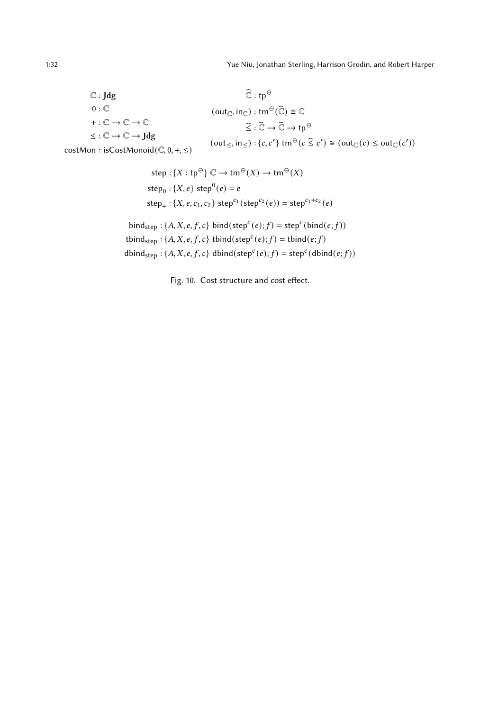<span id="page-31-0"></span>
$$
\begin{array}{ll}\n\mathbb{C}: \mathsf{Jdg} & \widehat{\mathbb{C}}: \mathsf{tp}^{\ominus} \\
0: \mathbb{C} & (\mathrm{out}_{\mathbb{C}}, \mathrm{in}_{\mathbb{C}}): \mathrm{tm}^{\ominus}(\widehat{\mathbb{C}}) \cong \mathbb{C} \\
+ : \mathbb{C} \to \mathbb{C} \to \mathbb{C} \\
\le: \mathbb{C} \to \mathbb{C} \to \mathsf{Jdg} & (\mathrm{out}_{\le}, \mathrm{in}_{\le}) : \{c, c'\} \mathrm{tm}^{\ominus} (c \leq c') \cong (\mathrm{out}_{\mathbb{C}}(c) \leq \mathrm{out}_{\mathbb{C}}(c')) \\
\mathrm{costMon}: \mathrm{isCostMonoid}(\mathbb{C}, 0, +, \leq)\n\end{array}
$$

step: { $X$  : tp<sup> $\ominus$ </sup>}  $\mathbb{C} \to \text{tm}^{\ominus}(X) \to \text{tm}^{\ominus}(X)$  $\text{step}_0 : \{X, e\} \text{ step}^0(e) = e$  $step_+ : \{X, e, c_1, c_2\} \text{ step}^{c_1}(\text{step}^{c_2}(e)) = \text{step}^{c_1+c_2}(e)$ 

bind<sub>step</sub> : {*A, X, e, f, c*} bind(
$$
step^c(e)
$$
; *f*) =  $step^c(bind(e; f))$   
tbind<sub>step</sub> : {*A, X, e, f, c*} tbind( $step^c(e)$ ; *f*) = tbind(*e, f*)  
dbind<sub>step</sub> : {*A, X, e, f, c*} dbind( $step^c(e)$ ; *f*) =  $step^c(dbind(e; f))$ 

Fig. 10. Cost structure and cost effect.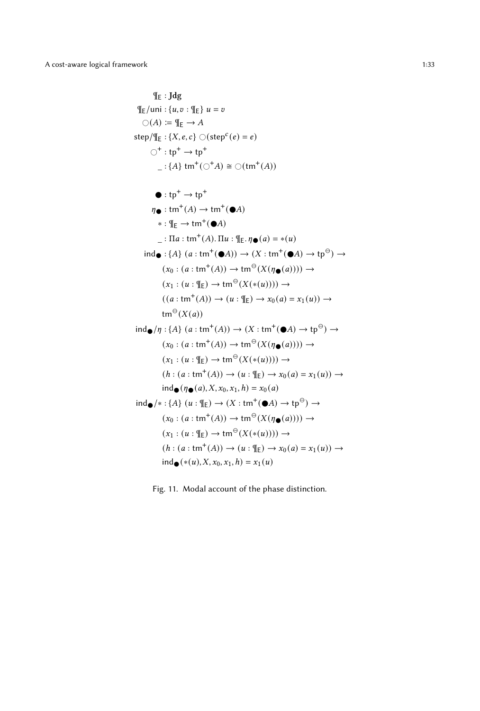$$
{}^{\mathsf{f}\mathsf{E}} : \mathsf{Jdg}
$$
\n
$$
{}^{\mathsf{f}\mathsf{E}} \mathsf{I} \mathsf{un} : \{u, v : \mathsf{f}\mathsf{E}\} u = v
$$
\n
$$
\bigcirc(A) := \mathsf{f}\mathsf{E} \rightarrow A
$$
\n
$$
\mathsf{step}/\mathsf{f}\mathsf{E} : \{X, e, c\} \bigcirc (\mathsf{step}^c(e) = e)
$$
\n
$$
\bigcirc^+ : \mathsf{tp}^+ \rightarrow \mathsf{tp}^+
$$
\n
$$
- : \{A\} \mathsf{tm}^+(\bigcirc^+ A) \cong \bigcirc (\mathsf{tm}^+(\bigcirc A))
$$
\n
$$
* : \mathsf{f}\mathsf{E} \rightarrow \mathsf{tm}^+(\bigcirc A)
$$
\n
$$
* : \mathsf{f}\mathsf{E} \rightarrow \mathsf{tm}^+(\bigcirc A)
$$
\n
$$
:. \mathsf{I}\mathsf{I}\mathsf{I} : \mathsf{tm}^+(\bigcirc A)
$$
\n
$$
:. \mathsf{I}\mathsf{I}\mathsf{I} : \mathsf{tm}^+(\bigcirc A)
$$
\n
$$
:. \mathsf{I}\mathsf{I}\mathsf{I} : (\mathsf{m}^+(\bigcirc A)) \rightarrow (\mathsf{X} : \mathsf{tm}^+(\bigcirc A) \rightarrow \mathsf{tp}^{\ominus}) \rightarrow (\mathsf{x}_0 : (a : \mathsf{tm}^+(\bigcirc A)) \rightarrow \mathsf{tm}^{\ominus}(\mathsf{X}(\eta_{\bullet}(a)))) \rightarrow (\mathsf{x}_0 : (a : \mathsf{tm}^+(\bigcirc A)) \rightarrow \mathsf{tm}^{\ominus}(\mathsf{X}(\mathsf{H}(u)))) \rightarrow (\mathsf{x}_1 : (u : \mathsf{f}\mathsf{E}) \rightarrow \mathsf{tm}^{\ominus}(\mathsf{X}(*(u)))) \rightarrow (\mathsf{x}_1 : (u : \mathsf{f}\mathsf{E}) \rightarrow \mathsf{tm}^{\ominus}(\mathsf{X}(*(u)))) \rightarrow (\mathsf{x}_2 : \mathsf{tm}^+(\bigcirc A) \rightarrow \mathsf{tr}^{\ominus}(\mathsf{X}(a)) \rightarrow (\mathsf{x}_2 : \mathsf{tm}^+(\bigcirc A) \rightarrow \mathsf{tr}^{\ominus}(\mathsf{X}(a)) \rightarrow (\mathsf{x}_3 : (\mathsf{H}\mathsf{
$$

Fig. 11. Modal account of the phase distinction.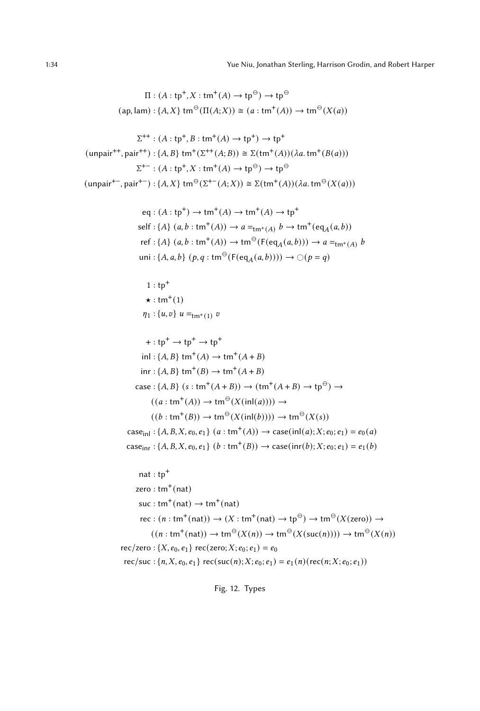<span id="page-33-0"></span>1:34 Yue Niu, Jonathan Sterling, Harrison Grodin, and Robert Harper

$$
\Pi : (A : \text{tp}^+, X : \text{tm}^+(A) \to \text{tp}^\ominus) \to \text{tp}^\ominus
$$
  
(ap, lam) : {A, X}  $\text{tm}^\ominus(\Pi(A;X)) \cong (a : \text{tm}^+(A)) \to \text{tm}^\ominus(X(a))$ 

$$
\Sigma^{++} : (A : \text{tp}^+, B : \text{tm}^+(A) \to \text{tp}^+) \to \text{tp}^+
$$
  
(unpair<sup>++</sup>, pair<sup>++</sup>) : {*A*, *B*}tm<sup>+</sup>( $\Sigma^{++}(A;B)$ )  $\cong$   $\Sigma(\text{tm}^+(A))(\lambda a.\text{tm}^+(B(a)))$   
 $\Sigma^{+-} : (A : \text{tp}^+, X : \text{tm}^+(A) \to \text{tp}^\ominus) \to \text{tp}^\ominus$   
(unpair<sup>+-</sup>, pair<sup>+-</sup>) : {*A*, *X*}tm<sup>^\ominus</sup>( $\Sigma^{+-}(A;X)$ )  $\cong$   $\Sigma(\text{tm}^+(A))(\lambda a.\text{tm}^\ominus(X(a)))$ 

$$
eq: (A: tp^{+}) \to tm^{+}(A) \to tm^{+}(A) \to tp^{+}
$$
  
self: {A} (a, b: tm^{+}(A)) \to a =<sub>tm^{+}(A) b \to tm^{+}(eq\_{A}(a, b))  
ref: {A} (a, b: tm^{+}(A)) \to tm^{ $\ominus}$  (F(eq<sub>A</sub>(a, b))) \to a =<sub>tm^{+}(A) b</sub>  
uni: {A, a, b} (p, q: tm^{ $\ominus$  (F(eq<sub>A</sub>(a, b)))) \to \bigcirc (p = q)</sub>

$$
1:tp^{+}
$$
  
\n
$$
\star:tm^{+}(1)
$$
  
\n
$$
\eta_{1}:\{u,v\} \ u =_{tm^{+}(1)} v
$$

+ : tp<sup>+</sup> → tp<sup>+</sup> → tp<sup>+</sup> inl : {𝐴, 𝐵} tm<sup>+</sup> (𝐴) → tm<sup>+</sup> (𝐴 + 𝐵) inr : {𝐴, 𝐵} tm<sup>+</sup> (𝐵) → tm<sup>+</sup> (𝐴 + 𝐵) case : {𝐴, 𝐵} (𝑠 : tm<sup>+</sup> (𝐴 + 𝐵)) → (tm<sup>+</sup> (𝐴 + 𝐵) → tp<sup>⊖</sup> ) → ( (𝑎 : tm<sup>+</sup> (𝐴)) → tm<sup>⊖</sup> (𝑋 (inl(𝑎)))) → ( (𝑏 : tm<sup>+</sup> (𝐵)) → tm<sup>⊖</sup> (𝑋 (inl(𝑏)))) → tm<sup>⊖</sup> (𝑋 (𝑠)) caseinl : {𝐴, 𝐵, 𝑋, 𝑒0, 𝑒1} (<sup>𝑎</sup> : tm<sup>+</sup> (𝐴)) → case(inl(𝑎);𝑋; 𝑒0; 𝑒1) = 𝑒<sup>0</sup> (𝑎) caseinr : {𝐴, 𝐵, 𝑋, 𝑒0, 𝑒1} (𝑏 : tm<sup>+</sup> (𝐵)) → case(inr(𝑏);𝑋; 𝑒0; 𝑒1) = 𝑒<sup>1</sup> (𝑏)

nat : tp<sup>+</sup>  
\nzero : tm<sup>+</sup>(nat)  
\nsuc : tm<sup>+</sup>(nat) 
$$
\rightarrow
$$
 tm<sup>+</sup>(nat)  
\nrec : (n : tm<sup>+</sup>(nat))  $\rightarrow$  (X : tm<sup>+</sup>(nat)  $\rightarrow$  tp<sup>Θ</sup>)  $\rightarrow$  tm<sup>Θ</sup>(X(zero))  $\rightarrow$   
\n((n : tm<sup>+</sup>(nat))  $\rightarrow$  tm<sup>Θ</sup>(X(n))  $\rightarrow$  tm<sup>Θ</sup>(X(suc(n))))  $\rightarrow$  tm<sup>Θ</sup>(X(n))  
\nrec/zero : {X, e<sub>0</sub>, e<sub>1</sub>} rec(zero; X; e<sub>0</sub>; e<sub>1</sub>) = e<sub>0</sub>  
\nrec/suc : {n, X, e<sub>0</sub>, e<sub>1</sub>} rec(suc(n); X; e<sub>0</sub>; e<sub>1</sub>) = e<sub>1</sub>(n)(rec(n; X; e<sub>0</sub>; e<sub>1</sub>))

Fig. 12. Types